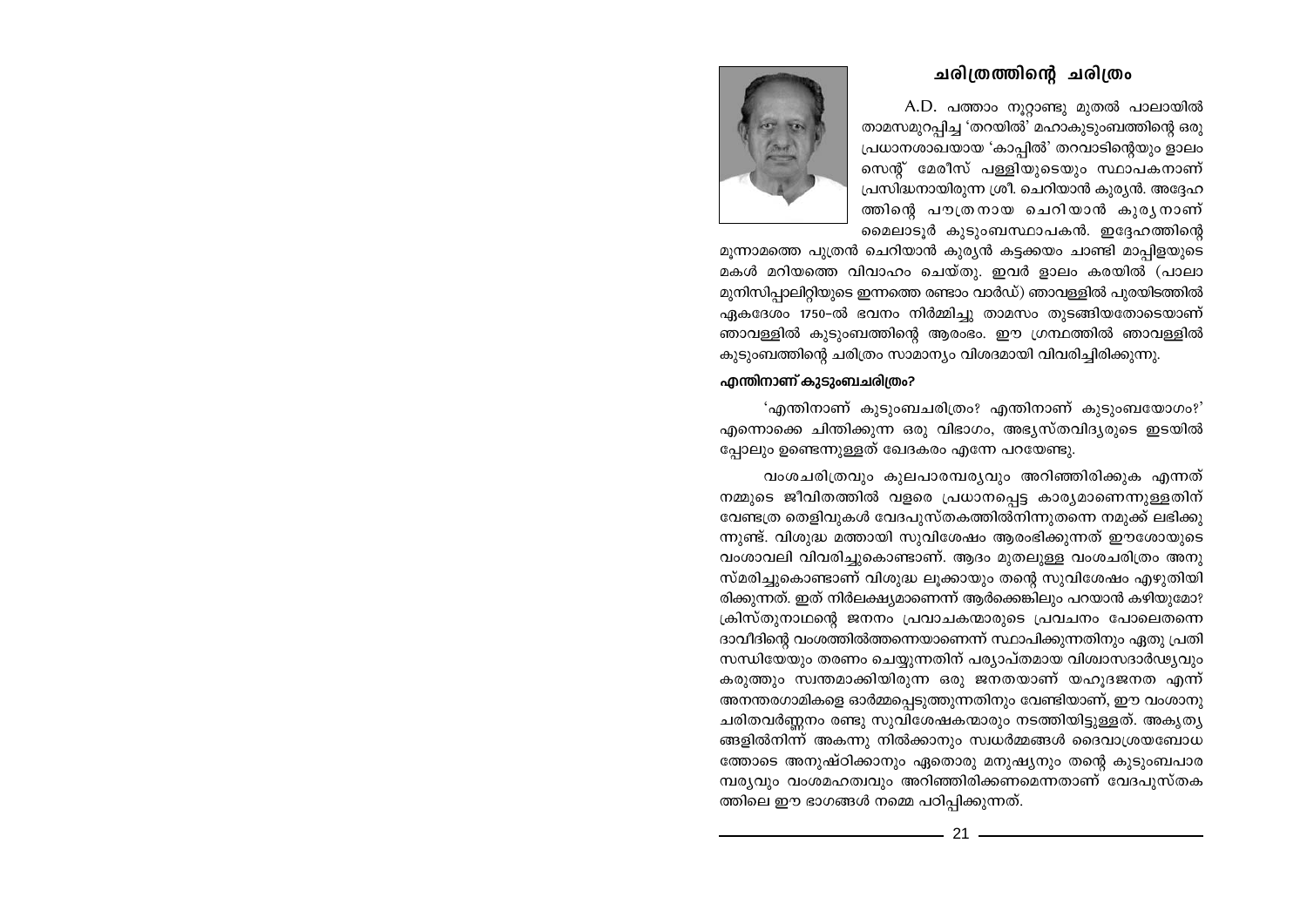## ചരിത്രത്തിന്റെ ചരിത്രം

A.D. പത്താം നുറ്റാണ്ടു മുതൽ പാലായിൽ താമസമുറപ്പിച്ച 'തറയിൽ' മഹാകുടുംബത്തിന്റെ ഒരു പ്രധാനശാഖയായ 'കാപ്പിൽ' തറവാടിന്റെയും ളാലം സെന്റ് മേരീസ് പള്ളിയുടെയും സ്ഥാപകനാണ് പ്രസിദ്ധനായിരുന്ന ശ്രീ. ചെറിയാൻ കുര്യൻ. അദ്ദേഹ ത്തിന്റെ പൗത്രനായ ചെറിയാൻ കുരൃനാണ് മൈലാടൂർ കുടുംബസ്ഥാപകൻ. ഇദ്ദേഹത്തിന്റെ



മുന്നാമത്തെ പുത്രൻ ചെറിയാൻ കുര്യൻ കട്ടക്കയം ചാണ്ടി മാപ്പിളയുടെ മകൾ മറിയത്തെ വിവാഹം ചെയ്തു. ഇവർ ളാലം കരയിൽ (പാലാ മുനിസിപ്പാലിറ്റിയുടെ ഇന്നത്തെ രണ്ടാം വാർഡ്) ഞാവള്ളിൽ പുരയിടത്തിൽ ഏകദേശം 1750-ൽ ഭവനം നിർമ്മിച്ചു താമസം തുടങ്ങിയതോടെയാണ് ഞാവള്ളിൽ കുടുംബത്തിന്റെ ആരംഭം. ഈ ഗ്രന്ഥത്തിൽ ഞാവള്ളിൽ കുടുംബത്തിന്റെ ചരിത്രം സാമാന്യം വിശദമായി വിവരിച്ചിരിക്കുന്നു.

## എന്തിനാണ് കുടുംബചരിത്രം?

'എന്തിനാണ് കുടുംബചരിത്രം? എന്തിനാണ് കുടുംബയോഗം?' എന്നൊക്കെ ചിന്തിക്കുന്ന ഒരു വിഭാഗം, അഭ്യസ്തവിദ്യരുടെ ഇടയിൽ പ്പോലും ഉണ്ടെന്നുള്ളത് ഖേദകരം എന്നേ പറയേണ്ടു.

വംശചരിത്രവും കുലപാരമ്പര്യവും അറിഞ്ഞിരിക്കുക എന്നത് നമ്മുടെ ജീവിതത്തിൽ വളരെ പ്രധാനപ്പെട്ട കാര്യമാണെന്നുള്ളതിന് വേണ്ടത്ര തെളിവുകൾ വേദപുസ്തകത്തിൽനിന്നുതന്നെ നമുക്ക് ലഭിക്കു ന്നുണ്ട്. വിശുദ്ധ മത്തായി സുവിശേഷം ആരംഭിക്കുന്നത് ഈശോയുടെ വംശാവലി വിവരിച്ചുകൊണ്ടാണ്. ആദം മുതലുള്ള വംശചരിത്രം അനു സ്മരിച്ചുകൊണ്ടാണ് വിശുദ്ധ ലുക്കായും തന്റെ സുവിശേഷം എഴുതിയി രിക്കുന്നത്. ഇത് നിർലക്ഷ്യമാണെന്ന് ആർക്കെങ്കിലും പറയാൻ കഴിയുമോ? ക്രിസ്തുനാഥന്റെ ജനനം പ്രവാചകന്മാരുടെ പ്രവചനം പോലെതന്നെ ദാവീദിന്റെ വംശത്തിൽത്തന്നെയാണെന്ന് സ്ഥാപിക്കുന്നതിനും ഏതു പ്രതി സന്ധിയേയും തരണം ചെയ്യുന്നതിന് പര്യാപ്തമായ വിശ്വാസദാർഢ്യവും കരുത്തും സ്വന്തമാക്കിയിരുന്ന ഒരു ജനതയാണ് യഹുദജനത എന്ന് അനന്തരഗാമികളെ ഓർമ്മപ്പെടുത്തുന്നതിനും വേണ്ടിയാണ്, ഈ വംശാനു ചരിതവർണ്ണനം രണ്ടു സുവിശേഷകന്മാരും നടത്തിയിട്ടുള്ളത്. അകൃതൃ ങ്ങളിൽനിന്ന് അകന്നു നിൽക്കാനും സ്വധർമ്മങ്ങൾ ദൈവാശ്രയബോധ ത്തോടെ അനുഷ്ഠിക്കാനും ഏതൊരു മനുഷ്യനും തന്റെ കുടുംബപാര മ്പര്യവും വംശമഹത്വവും അറിഞ്ഞിരിക്കണമെന്നതാണ് വേദപുസ്തക ത്തിലെ ഈ ഭാഗങ്ങൾ നമ്മെ പഠിപ്പിക്കുന്നത്.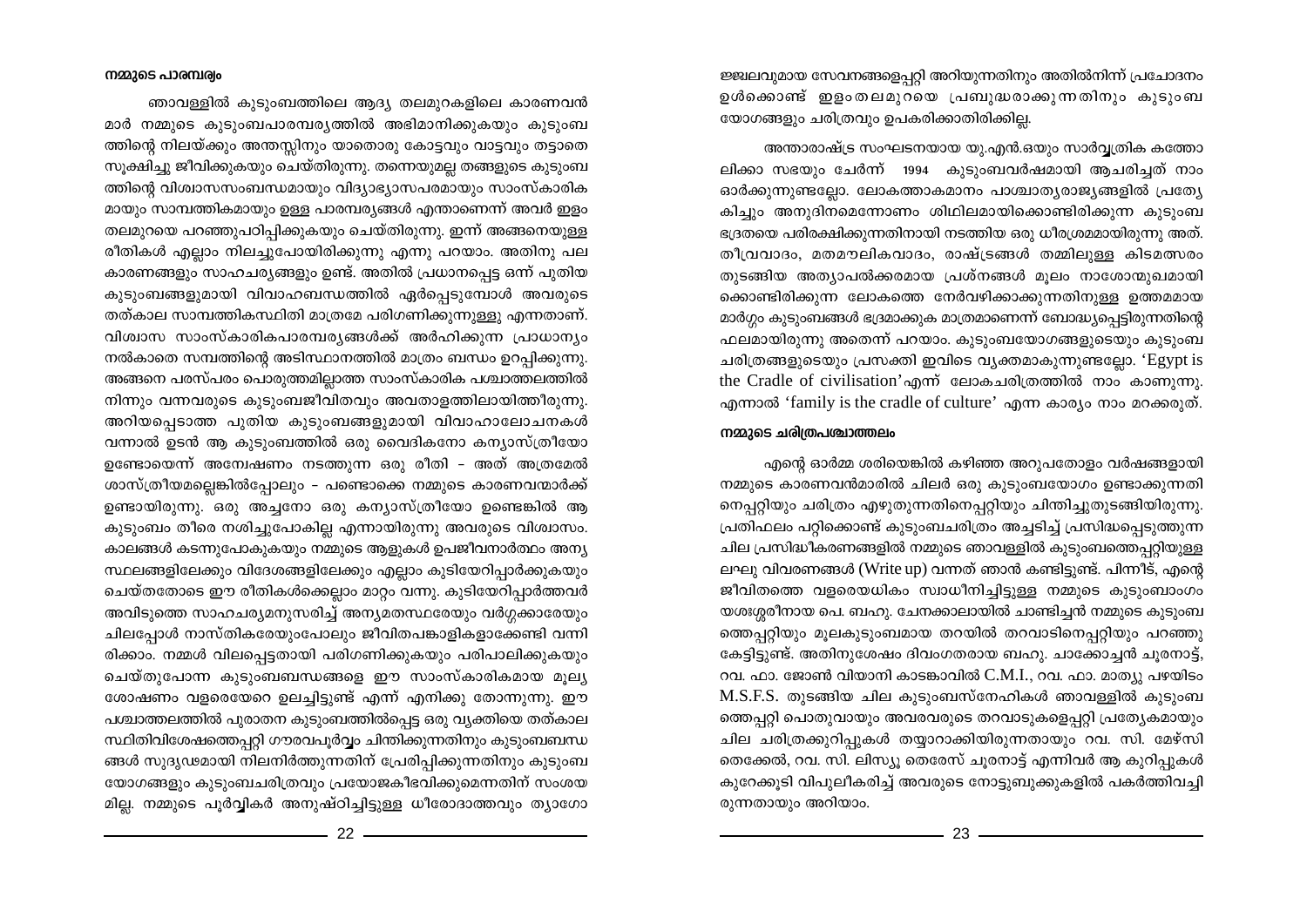ജ്ജലവുമായ സേവനങ്ങളെപ്പറ്റി അറിയുന്നതിനും അതിൽനിന്ന് പ്രചോദനം ഉൾക്കൊണ്ട് ഇളംതലമുറയെ പ്രബുദ്ധരാക്കുന്നതിനും കുടുംബ യോഗങ്ങളും ചരിത്രവും ഉപകരിക്കാതിരിക്കില്ല.

അന്താരാഷ്ട്ര സംഘടനയായ യു.എൻ.ഒയും സാർവ്വത്രിക കത്തോ ലിക്കാ സഭയും ചേർന്ന് 1994 കുടുംബവർഷമായി ആചരിച്ചത് നാം ഓർക്കുന്നുണ്ടല്ലോ. ലോകത്താകമാനം പാശ്ചാതൃരാജ്യങ്ങളിൽ പ്രത്യേ കിച്ചും അനുദിനമെന്നോണം ശിഥിലമായിക്കൊണ്ടിരിക്കുന്ന കൂടുംബ ഭദ്രതയെ പരിരക്ഷിക്കുന്നതിനായി നടത്തിയ ഒരു ധീരശ്രമമായിരുന്നു അത്. തീവ്രവാദം, മതമൗലികവാദം, രാഷ്ട്രങ്ങൾ തമ്മിലുള്ള കിടമത്സരം തുടങ്ങിയ അത്യാപൽക്കരമായ പ്രശ്നങ്ങൾ മൂലം നാശോന്മുഖമായി ക്കൊണ്ടിരിക്കുന്ന ലോകത്തെ നേർവഴിക്കാക്കുന്നതിനുള്ള ഉത്തമമായ മാർഗ്ഗം കുടുംബങ്ങൾ ഭദ്രമാക്കുക മാത്രമാണെന്ന് ബോദ്ധ്യപ്പെട്ടിരുന്നതിന്റെ ഫലമായിരുന്നു അതെന്ന് പറയാം. കുടുംബയോഗങ്ങളുടെയും കുടുംബ ചരിത്രങ്ങളുടെയും പ്രസക്തി ഇവിടെ വ്യക്തമാകുന്നുണ്ടല്ലോ. 'Egypt is the Cradle of civilisation' എന്ന് ലോകചരിത്രത്തിൽ നാം കാണുന്നു. എന്നാൽ 'family is the cradle of culture' എന്ന കാര്യം നാം മറക്കരുത്.

## നമ്മുടെ ചരിത്രപശ്ചാത്തലം

എന്റെ ഓർമ്മ ശരിയെങ്കിൽ കഴിഞ്ഞ അറുപതോളം വർഷങ്ങളായി നമ്മുടെ കാരണവൻമാരിൽ ചിലർ ഒരു കുടുംബയോഗം ഉണ്ടാക്കുന്നതി നെപ്പറ്റിയും ചരിത്രം എഴുതുന്നതിനെപ്പറ്റിയും ചിന്തിച്ചുതുടങ്ങിയിരുന്നു. പ്രതിഫലം പറ്റിക്കൊണ്ട് കുടുംബചരിത്രം അച്ചടിച്ച് പ്രസിദ്ധപ്പെടുത്തുന്ന ചില പ്രസിദ്ധീകരണങ്ങളിൽ നമ്മുടെ ഞാവള്ളിൽ കുടുംബത്തെപ്പറ്റിയുള്ള ലഘു വിവരണങ്ങൾ (Write up) വന്നത് ഞാൻ കണ്ടിട്ടുണ്ട്. പിന്നീട്, എന്റെ ജീവിതത്തെ വളരെയധികം സ്വാധീനിച്ചിട്ടുള്ള നമ്മുടെ കുടുംബാംഗം യശഃശ്ശരീനായ പെ. ബഹു. ചേനക്കാലായിൽ ചാണ്ടിച്ചൻ നമ്മുടെ കുടുംബ ത്തെപ്പറ്റിയും മൂലകുടുംബമായ തറയിൽ തറവാടിനെപ്പറ്റിയും പറഞ്ഞു കേട്ടിട്ടുണ്ട്. അതിനുശേഷം ദിവംഗതരായ ബഹു. ചാക്കോച്ചൻ ചൂരനാട്ട്, റവ. ഫാ. ജോൺ വിയാനി കാടങ്കാവിൽ C.M.I., റവ. ഫാ. മാത്യു പഴയിടം M.S.F.S. തുടങ്ങിയ ചില കുടുംബസ്നേഹികൾ ഞാവള്ളിൽ കുടുംബ ത്തെപ്പറ്റി പൊതുവായും അവരവരുടെ തറവാടുകളെപ്പറ്റി പ്രത്യേകമായും ചില ചരിത്രക്കുറിപ്പുകൾ തയ്യാറാക്കിയിരുന്നതായും റവ. സി. മേഴ്സി തെക്കേൽ, റവ. സി. ലിസ്യു തെരേസ് ചുരനാട്ട് എന്നിവർ ആ കുറിപ്പുകൾ കുറേക്കുടി വിപുലീകരിച്ച് അവരുടെ നോട്ടുബുക്കുകളിൽ പകർത്തിവച്ചി രുന്നതായും അറിയാം.

ഞാവള്ളിൽ കുടുംബത്തിലെ ആദ്യ തലമുറകളിലെ കാരണവൻ മാർ നമ്മുടെ കുടുംബപാരമ്പര്യത്തിൽ അഭിമാനിക്കുകയും കുടുംബ ത്തിന്റെ നിലയ്ക്കും അന്തസ്സിനും യാതൊരു കോട്ടവും വാട്ടവും തട്ടാതെ സൂക്ഷിച്ചു ജീവിക്കുകയും ചെയ്തിരുന്നു. തന്നെയുമല്ല തങ്ങളുടെ കുടുംബ ത്തിന്റെ വിശ്വാസസംബന്ധമായും വിദ്യാഭ്യാസപരമായും സാംസ്കാരിക മായും സാമ്പത്തികമായും ഉള്ള പാരമ്പര്യങ്ങൾ എന്താണെന്ന് അവർ ഇളം തലമുറയെ പറഞ്ഞുപഠിപ്പിക്കുകയും ചെയ്തിരുന്നു. ഇന്ന് അങ്ങനെയുള്ള രീതികൾ എല്ലാം നിലച്ചുപോയിരിക്കുന്നു എന്നു പറയാം. അതിനു പല കാരണങ്ങളും സാഹചര്യങ്ങളും ഉണ്ട്. അതിൽ പ്രധാനപ്പെട്ട ഒന്ന് പുതിയ കുടുംബങ്ങളുമായി വിവാഹബന്ധത്തിൽ ഏർപ്പെടുമ്പോൾ അവരുടെ തത്കാല സാമ്പത്തികസ്ഥിതി മാത്രമേ പരിഗണിക്കുന്നുള്ളു എന്നതാണ്. വിശ്വാസ സാംസ്കാരികപാരമ്പര്യങ്ങൾക്ക് അർഹിക്കുന്ന പ്രാധാന്യം നൽകാതെ സമ്പത്തിന്റെ അടിസ്ഥാനത്തിൽ മാത്രം ബന്ധം ഉറപ്പിക്കുന്നു. അങ്ങനെ പരസ്പരം പൊരുത്തമില്ലാത്ത സാംസ്കാരിക പശ്ചാത്തലത്തിൽ നിന്നും വന്നവരുടെ കുടുംബജീവിതവും അവതാളത്തിലായിത്തീരുന്നു. അറിയപ്പെടാത്ത പുതിയ കുടുംബങ്ങളുമായി വിവാഹാലോചനകൾ വന്നാൽ ഉടൻ ആ കുടുംബത്തിൽ ഒരു വൈദികനോ കന്യാസ്ത്രീയോ ഉണ്ടോയെന്ന് അന്വേഷണം നടത്തുന്ന ഒരു രീതി – അത് അത്രമേൽ ശാസ്ത്രീയമല്ലെങ്കിൽപ്പോലും – പണ്ടൊക്കെ നമ്മുടെ കാരണവന്മാർക്ക് ഉണ്ടായിരുന്നു. ഒരു അച്ചനോ ഒരു കന്യാസ്ത്രീയോ ഉണ്ടെങ്കിൽ ആ കുടുംബം തീരെ നശിച്ചുപോകില്ല എന്നായിരുന്നു അവരുടെ വിശ്വാസം. കാലങ്ങൾ കടന്നുപോകുകയും നമ്മുടെ ആളുകൾ ഉപജീവനാർത്ഥം അന്യ സ്ഥലങ്ങളിലേക്കും വിദേശങ്ങളിലേക്കും എല്ലാം കൂടിയേറിപ്പാർക്കുകയും ചെയ്തതോടെ ഈ രീതികൾക്കെല്ലാം മാറ്റം വന്നു. കുടിയേറിപ്പാർത്തവർ അവിടുത്തെ സാഹചര്യമനുസരിച്ച് അന്യമതസ്ഥരേയും വർഗ്ഗക്കാരേയും ചിലപ്പോൾ നാസ്തികരേയുംപോലും ജീവിതപങ്കാളികളാക്കേണ്ടി വന്നി രിക്കാം. നമ്മൾ വിലപ്പെട്ടതായി പരിഗണിക്കുകയും പരിപാലിക്കുകയും ചെയ്തുപോന്ന കുടുംബബന്ധങ്ങളെ ഈ സാംസ്കാരികമായ മൂല്യ ശോഷണം വളരെയേറെ ഉലച്ചിട്ടുണ്ട് എന്ന് എനിക്കു തോന്നുന്നു. ഈ പശ്ചാത്തലത്തിൽ പുരാതന കുടുംബത്തിൽപ്പെട്ട ഒരു വ്യക്തിയെ തത്കാല സ്ഥിതിവിശേഷത്തെപ്പറ്റി ഗൗരവപൂർവ്വം ചിന്തിക്കുന്നതിനും കൂടുംബബന്ധ ങ്ങൾ സുദൃഢമായി നിലനിർത്തുന്നതിന് പ്രേരിപ്പിക്കുന്നതിനും കുടുംബ യോഗങ്ങളും കുടുംബചരിത്രവും പ്രയോജകീഭവിക്കുമെന്നതിന് സംശയ മില്ല. നമ്മുടെ പൂർവ്വികർ അനുഷ്ഠിച്ചിട്ടുള്ള ധീരോദാത്തവും ത്യാഗോ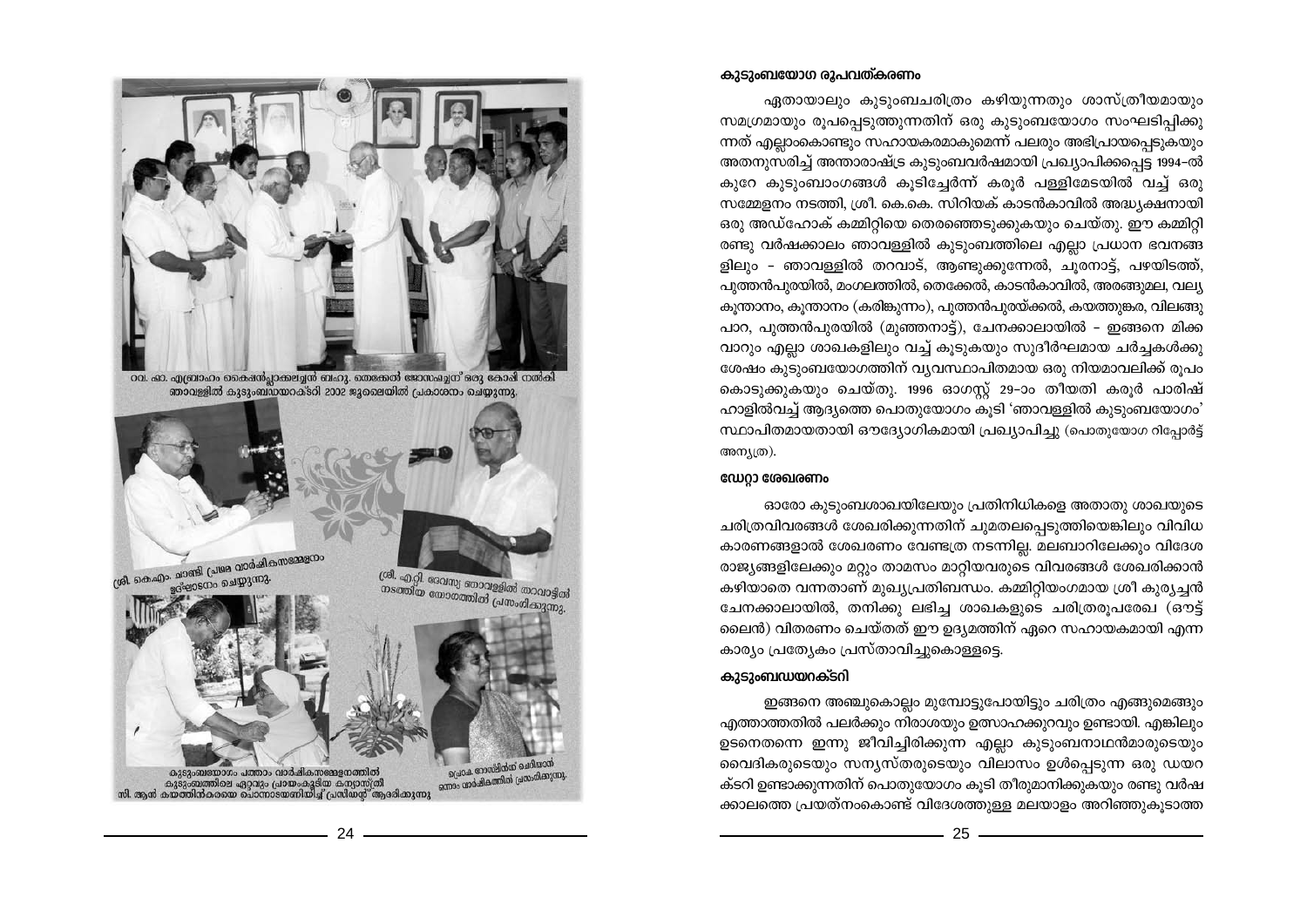## കുടുംബയോഗ രൂപവത്കരണം

ഏതായാലും കൂടുംബചരിത്രം കഴിയുന്നതും ശാസ്ത്രീയമായും സമഗ്രമായും രൂപപ്പെടുത്തുന്നതിന് ഒരു കുടുംബയോഗം സംഘടിപിക്കു ന്നത് എല്ലാംകൊണ്ടും സഹായകരമാകുമെന്ന് പലരും അഭിപ്രായപ്പെടുകയും അതനുസരിച്ച് അന്താരാഷ്ട്ര കുടുംബവർഷമായി പ്രഖ്യാപിക്കപ്പെട്ട 1994-ൽ കുറേ കുടുംബാംഗങ്ങൾ കൂടിച്ചേർന്ന് കരൂർ പള്ളിമേടയിൽ വച്ച് ഒരു സമ്മേളനം നടത്തി, ശ്രീ. കെ.കെ. സിറിയക് കാടൻകാവിൽ അദ്ധ്യക്ഷനായി ഒരു അഡ്ഹോക് കമ്മിറ്റിയെ തെരഞ്ഞെടുക്കുകയും ചെയ്തു. ഈ കമ്മിറ്റി രണ്ടു വർഷക്കാലം ഞാവള്ളിൽ കുടുംബത്തിലെ എല്ലാ പ്രധാന ഭവനങ്ങ ളിലും - ഞാവള്ളിൽ തറവാട്, ആണ്ടുക്കുന്നേൽ, ചൂരനാട്ട്, പഴയിടത്ത്, പുത്തൻപുരയിൽ, മംഗലത്തിൽ, തെക്കേൽ, കാടൻകാവിൽ, അരങ്ങുമല, വല്യ കുന്താനം, കുന്താനം (കരിങ്കുന്നം), പുത്തൻപുരയ്ക്കൽ, കയത്തുങ്കര, വിലങ്ങു പാറ, പുത്തൻപൂരയിൽ (മുഞ്ഞനാട്ട്), ചേനക്കാലായിൽ - ഇങ്ങനെ മിക്ക വാറും എല്ലാ ശാഖകളിലും വച്ച് കൂടുകയും സുദീർഘമായ ചർച്ചകൾക്കു ശേഷം കുടുംബയോഗത്തിന് വ്യവസ്ഥാപിതമായ ഒരു നിയമാവലിക്ക് രൂപം കൊടുക്കുകയും ചെയ്തു. 1996 ഓഗസ്ക് 29–ാം തീയതി കരുർ പാരിഷ് ഹാളിൽവച്ച് ആദ്യത്തെ പൊതുയോഗം കൂടി 'ഞാവള്ളിൽ കൂടുംബയോഗം' സ്ഥാപിതമായതായി ഔദ്യോഗികമായി പ്രഖ്യാപിച്ചു (പൊതുയോഗ റിപ്പോർട്ട് അന്യത്ര).

### ഡേറ്റാ ശേഖരണം

ഓരോ കൂടുംബശാഖയിലേയും പ്രതിനിധികളെ അതാതു ശാഖയുടെ ചരിത്രവിവരങ്ങൾ ശേഖരിക്കുന്നതിന് ചുമതലപ്പെടുത്തിയെങ്കിലും വിവിധ കാരണങ്ങളാൽ ശേഖരണം വേണ്ടത്ര നടന്നില്ല. മലബാറിലേക്കും വിദേശ രാജ്യങ്ങളിലേക്കും മറ്റും താമസം മാറ്റിയവരുടെ വിവരങ്ങൾ ശേഖരിക്കാൻ കഴിയാതെ വന്നതാണ് മുഖ്യപ്രതിബന്ധം. കമ്മിറ്റിയംഗമായ ശ്രീ കുര്യച്ചൻ ചേനക്കാലായിൽ, തനിക്കു ലഭിച്ച ശാഖകളുടെ ചരിത്രരൂപരേഖ (ഔട്ട് ലൈൻ) വിതരണം ചെയ്തത് ഈ ഉദ്യമത്തിന് ഏറെ സഹായകമായി എന്ന കാര്യം പ്രത്യേകം പ്രസ്താവിച്ചുകൊള്ളട്ടെ.

## കുടുംബഡയറക്ടറി

ഇങ്ങനെ അഞ്ചുകൊല്ലം മുമ്പോട്ടുപോയിട്ടും ചരിത്രം എങ്ങുമെങ്ങും എത്താത്തതിൽ പലർക്കും നിരാശയും ഉത്സാഹക്കുറവും ഉണ്ടായി. എങ്കിലും ഉടനെതന്നെ ഇന്നു ജീവിച്ചിരിക്കുന്ന എല്ലാ കുടുംബനാഥൻമാരുടെയും വൈദികരുടെയും സന്യസ്തരുടെയും വിലാസം ഉൾപ്പെടുന്ന ഒരു ഡയറ ക്ടറി ഉണ്ടാക്കുന്നതിന് പൊതുയോഗം കൂടി തീരുമാനിക്കുകയും രണ്ടു വർഷ ക്കാലത്തെ പ്രയത്നംകൊണ്ട് വിദേശത്തുള്ള മലയാളം അറിഞ്ഞുകൂടാത്ത



ഞാവള്ളിൽ കുടുംബഡയറക്ടറി 2002 ജൂലൈയിൽ പ്രകാശനം ചെയ്യുന്നു

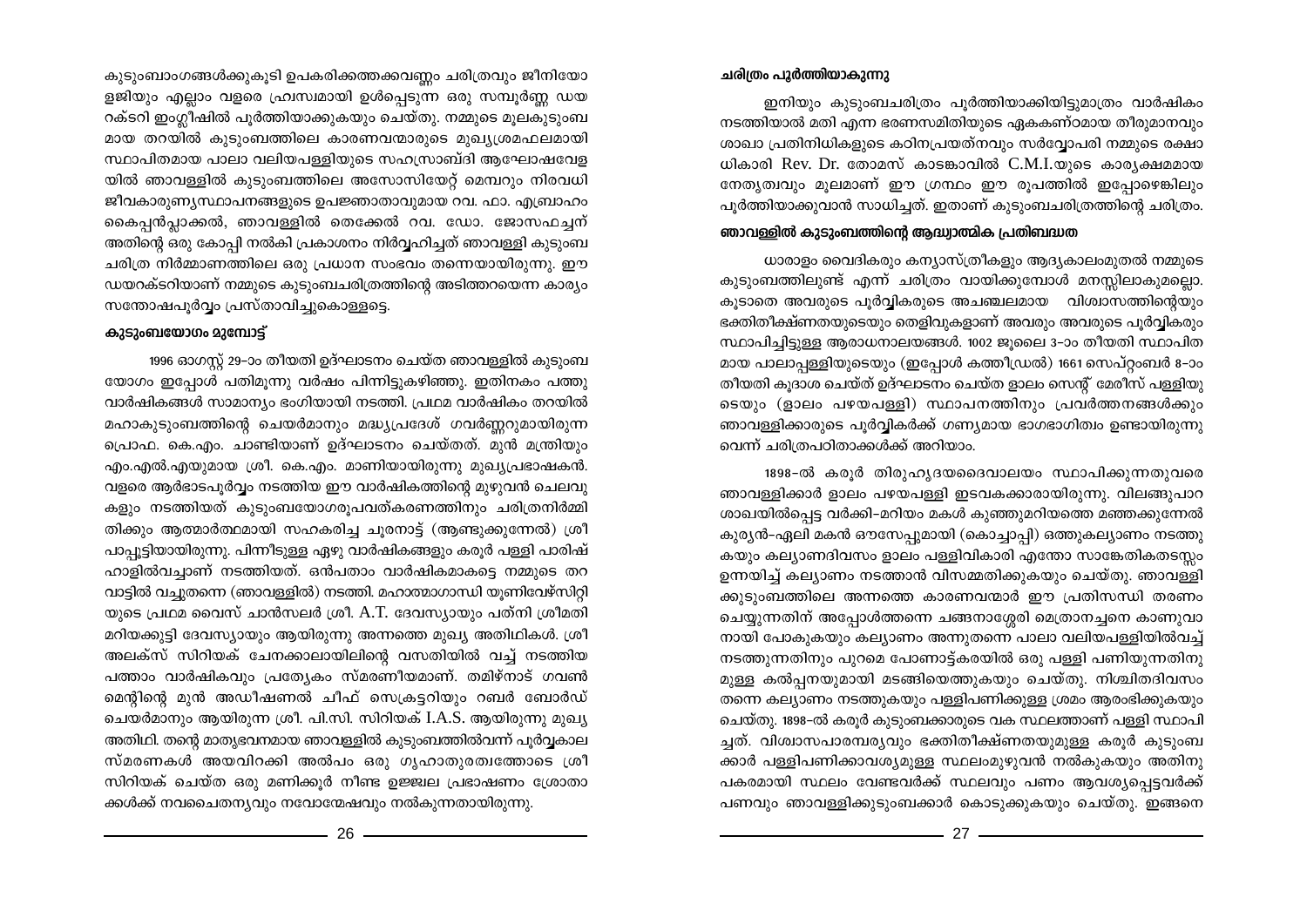കുടുംബാംഗങ്ങൾക്കുകൂടി ഉപകരിക്കത്തക്കവണ്ണം ചരിത്രവും ജീനിയോ ളജിയും എല്ലാം വളരെ ഹ്രുസ്വമായി ഉൾപ്പെടുന്ന ഒരു സമ്പൂർണ്ണ ഡയ റക്ടറി ഇംഗ്ലീഷിൽ പൂർത്തിയാക്കുകയും ചെയ്തു. നമ്മുടെ മുലകൂടുംബ മായ തറയിൽ കുടുംബത്തിലെ കാരണവന്മാരുടെ മുഖ്യശ്രമഫലമായി സ്ഥാപിതമായ പാലാ വലിയപള്ളിയുടെ സഹസ്രാബ്ദി ആഘോഷവേള യിൽ ഞാവള്ളിൽ കൂടുംബത്തിലെ അസോസിയേറ്റ് മെമ്പറും നിരവധി ജീവകാരുണ്യസ്ഥാപനങ്ങളുടെ ഉപജ്ഞാതാവുമായ റവ. ഫാ. എബ്രാഹം കൈപ്പൻപ്ലാക്കൽ, ഞാവള്ളിൽ തെക്കേൽ റവ. ഡോ. ജോസഫച്ചന് അതിന്റെ ഒരു കോപ്പി നൽകി പ്രകാശനം നിർവ്വഹിച്ചത് ഞാവള്ളി കുടുംബ ചരിത്ര നിർമ്മാണത്തിലെ ഒരു പ്രധാന സംഭവം തന്നെയായിരുന്നു. ഈ ഡയറക്ടറിയാണ് നമ്മുടെ കുടുംബചരിത്രത്തിന്റെ അടിത്തറയെന്ന കാര്യം സന്തോഷപൂർവ്വം പ്രസ്താവിച്ചുകൊള്ളട്ടെ.

### കാടാംബയോഗം മാമ്പോട്

1996 ഓഗസ്റ്റ് 29-ാം തീയതി ഉദ്ഘാടനം ചെയ്ത ഞാവള്ളിൽ കുടുംബ യോഗം ഇപ്പോൾ പതിമുന്നു വർഷം പിന്നിട്ടുകഴിഞ്ഞു. ഇതിനകം പത്തു വാർഷികങ്ങൾ സാമാന്യം ഭംഗിയായി നടത്തി. പ്രഥമ വാർഷികം തറയിൽ മഹാകുടുംബത്തിന്റെ ചെയർമാനും മദ്ധ്യപ്രദേശ് ഗവർണ്ണറുമായിരുന്ന പ്രൊഫ. കെ.എം. ചാണ്ടിയാണ് ഉദ്ഘാടനം ചെയ്തത്. മുൻ മന്ത്രിയും എം.എൽ.എയുമായ ശ്രീ. കെ.എം. മാണിയായിരുന്നു മുഖ്യപ്രഭാഷകൻ. വളരെ ആർഭാടപൂർവ്വം നടത്തിയ ഈ വാർഷികത്തിന്റെ മുഴുവൻ ചെലവു കളും നടത്തിയത് കുടുംബയോഗരുപവത്കരണത്തിനും ചരിത്രനിർമ്മി തിക്കും ആത്മാർത്ഥമായി സഹകരിച്ച ചുരനാട്ട് (ആണ്ടുക്കുന്നേൽ) ശ്രീ പാപ്പുട്ടിയായിരുന്നു. പിന്നീടുള്ള ഏഴു വാർഷികങ്ങളും കരുർ പള്ളി പാരിഷ് ഹാളിൽവച്ചാണ് നടത്തിയത്. ഒൻപതാം വാർഷികമാകട്ടെ നമ്മുടെ തറ വാട്ടിൽ വച്ചുതന്നെ (ഞാവള്ളിൽ) നടത്തി. മഹാത്മാഗാന്ധി യൂണിവേഴ്സിറ്റി യുടെ പ്രഥമ വൈസ് ചാൻസലർ ശ്രീ. A.T. ദേവസ്യായും പത്നി ശ്രീമതി മറിയക്കുട്ടി ദേവസ്യായും ആയിരുന്നു അന്നത്തെ മുഖ്യ അതിഥികൾ. ശ്രീ അലക്സ് സിറിയക് ചേനക്കാലായിലിന്റെ വസതിയിൽ വച്ച് നടത്തിയ പത്താം വാർഷികവും പ്രത്യേകം സ്മരണീയമാണ്. തമിഴ്നാട് ഗവൺ മെന്റിന്റെ മുൻ അഡീഷണൽ ചീഫ് സെക്രട്ടറിയും റബർ ബോർഡ് ചെയർമാനും ആയിരുന്ന ശ്രീ. പി.സി. സിറിയക് I.A.S. ആയിരുന്നു മുഖ്യ അതിഥി. തന്റെ മാതൃഭവനമായ ഞാവള്ളിൽ കുടുംബത്തിൽവന്ന് പൂർവ്വകാല സ്മരണകൾ അയവിറക്കി അൽപം ഒരു ഗൃഹാതുരത്വത്തോടെ ശ്രീ സിറിയക് ചെയ്ത ഒരു മണിക്കുർ നീണ്ട ഉജ്ജ്വല പ്രഭാഷണം ശ്രോതാ ക്കൾക്ക് നവചൈതന്യവും നവോന്മേഷവും നൽകുന്നതായിരുന്നു.

## ചരിത്രം പൂർത്തിയാകുന്നു

ഇനിയും കുടുംബചരിത്രം പൂർത്തിയാക്കിയിട്ടുമാത്രം വാർഷികം നടത്തിയാൽ മതി എന്ന ഭരണസമിതിയുടെ ഏകകണ്ഠമായ തീരുമാനവും ശാഖാ പ്രതിനിധികളുടെ കഠിനപ്രയത്നവും സർവ്വോപരി നമ്മുടെ രക്ഷാ ധികാരി Rev. Dr. തോമസ് കാടങ്കാവിൽ  $C.M.I.\omega$ ുടെ കാര്യക്ഷമമായ നേതൃത്വവും മുലമാണ് ഈ ഗ്രന്ഥം ഈ രുപത്തിൽ ഇപ്പോഴെങ്കിലും പൂർത്തിയാക്കുവാൻ സാധിച്ചത്. ഇതാണ് കുടുംബചരിത്രത്തിന്റെ ചരിത്രം.

## ഞാവള്ളിൽ കുടുംബത്തിന്റെ ആദ്ധ്വാത്മിക പ്രതിബദ്ധത

ധാരാളം വൈദികരും കന്യാസ്ത്രീകളും ആദ്യകാലംമുതൽ നമ്മുടെ കുടുംബത്തിലുണ്ട് എന്ന് ചരിത്രം വായിക്കുമ്പോൾ മനസ്സിലാകുമല്ലൊ. കൂടാതെ അവരുടെ പൂർവ്വികരുടെ അചഞ്ചലമായ നവിശ്വാസത്തിന്റെയും ഭക്തിതീക്ഷ്ണതയുടെയും തെളിവുകളാണ് അവരും അവരുടെ പൂർവ്വികരും സ്ഥാപിച്ചിട്ടുള്ള ആരാധനാലയങ്ങൾ. 1002 ജൂലൈ 3–ാം തീയതി സ്ഥാപിത മായ പാലാപ്പള്ളിയുടെയും (ഇപ്പോൾ കത്തീഡ്രൽ) 1661 സെപ്റ്റംബർ 8–ാം തീയതി കുദാശ ചെയ്ത് ഉദ്ഘാടനം ചെയ്ത ളാലം സെന്റ് മേരീസ് പള്ളിയു ടെയും (ളാലം പഴയപള്ളി) സ്ഥാപനത്തിനും പ്രവർത്തനങ്ങൾക്കും ഞാവള്ളിക്കാരുടെ പൂർവ്വികർക്ക് ഗണ്യമായ ഭാഗഭാഗിത്വം ഉണ്ടായിരുന്നു വെന്ന് ചരിത്രപഠിതാക്കൾക്ക് അറിയാം.

1898-ൽ കരുർ തിരുഹൃദയദൈവാലയം സ്ഥാപിക്കുന്നതുവരെ ഞാവള്ളിക്കാർ ളാലം പഴയപള്ളി ഇടവകക്കാരായിരുന്നു. വിലങ്ങുപാറ ശാഖയിൽപ്പെട്ട വർക്കി-മറിയം മകൾ കുഞ്ഞുമറിയത്തെ മഞ്ഞക്കുന്നേൽ കുര്യൻ-ഏലി മകൻ ഔസേപ്പുമായി (കൊച്ചാപ്പി) ഒത്തുകല്യാണം നടത്തു കയും കല്യാണദിവസം ളാലം പള്ളിവികാരി എന്തോ സാങ്കേതികതടസ്സം ഉന്നയിച്ച് കല്യാണം നടത്താൻ വിസമ്മതിക്കുകയും ചെയ്തു. ഞാവള്ളി ക്കുടുംബത്തിലെ അന്നത്തെ കാരണവന്മാർ ഈ പ്രതിസന്ധി തരണം ചെയ്യുന്നതിന് അപ്പോൾത്തന്നെ ചങ്ങനാശ്ശേരി മെത്രാനച്ചനെ കാണുവാ നായി പോകുകയും കല്യാണം അന്നുതന്നെ പാലാ വലിയപള്ളിയിൽവച്ച് നടത്തുന്നതിനും പുറമെ പോണാട്ട്കരയിൽ ഒരു പള്ളി പണിയുന്നതിനു മുള്ള കൽപ്പനയുമായി മടങ്ങിയെത്തുകയും ചെയ്തു. നിശ്ചിതദിവസം തന്നെ കല്യാണം നടത്തുകയും പള്ളിപണിക്കുള്ള ശ്രമം ആരംഭിക്കുകയും ചെയ്തു. 1898-ൽ കരൂർ കുടുംബക്കാരുടെ വക സ്ഥലത്താണ് പള്ളി സ്ഥാപി ച്ചത്. വിശ്വാസപാരമ്പര്യവും ഭക്തിതീക്ഷ്ണതയുമുള്ള കരുർ കുടുംബ ക്കാർ പള്ളിപണിക്കാവശ്യമുള്ള സ്ഥലംമുഴുവൻ നൽകുകയും അതിനു പകരമായി സ്ഥലം വേണ്ടവർക്ക് സ്ഥലവും പണം ആവശ്യപ്പെട്ടവർക്ക് പണവും ഞാവള്ളിക്കുടുംബക്കാർ കൊടുക്കുകയും ചെയ്തു. ഇങ്ങനെ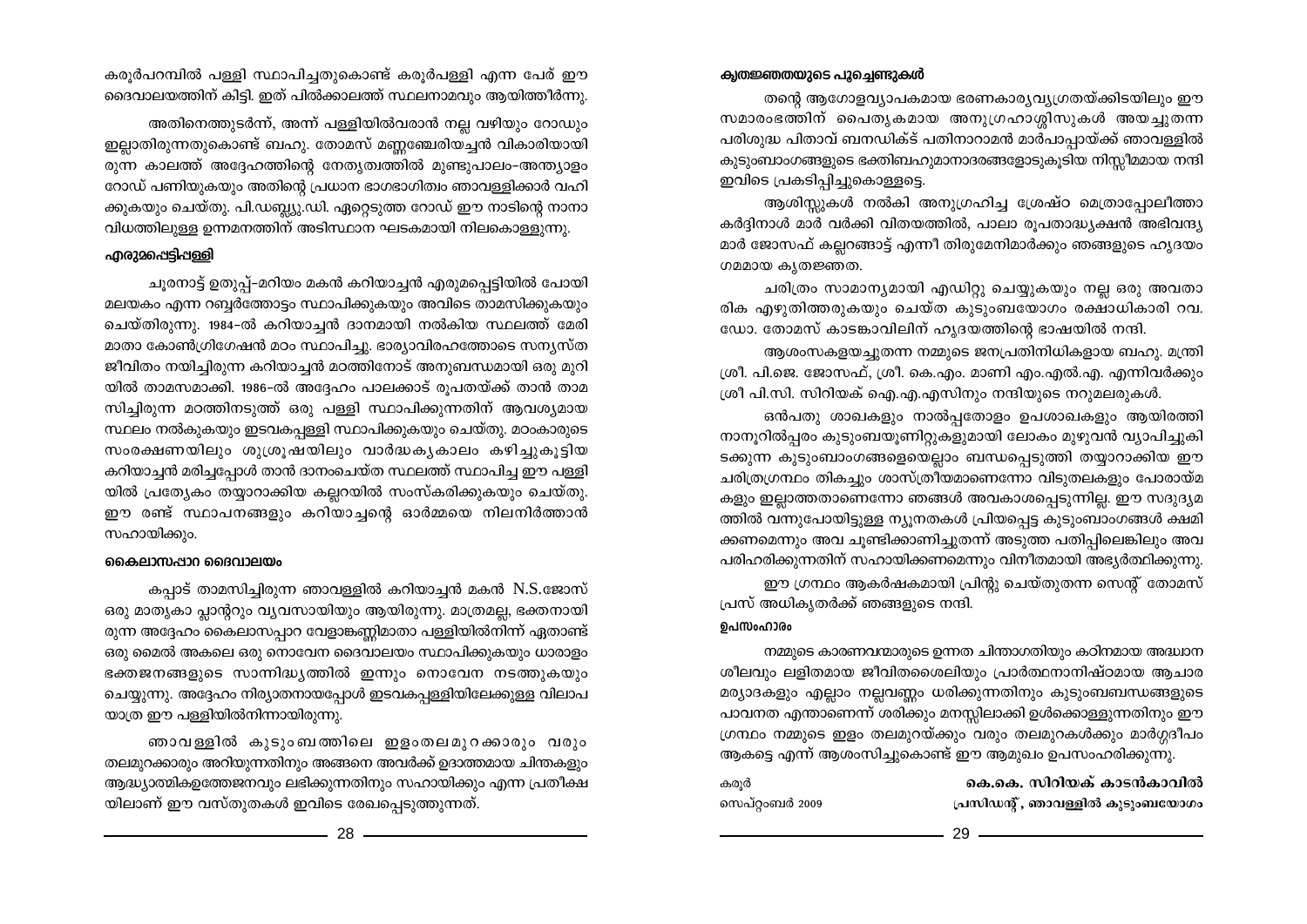### ക്വതജ്ഞതയുടെ പുച്ചെണ്ടുകൾ

തന്റെ ആഗോളവ്യാപകമായ ഭരണകാര്യവ്യഗ്രതയ്ക്കിടയിലും ഈ സമാരംഭത്തിന് പൈതൃകമായ അനുഗ്രഹാശ്ശിസുകൾ അയച്ചുതന്ന പരിശുദ്ധ പിതാവ് ബനഡിക്ട് പതിനാറാമൻ മാർപാപ്പായ്ക്ക് ഞാവള്ളിൽ കുടുംബാംഗങ്ങളുടെ ഭക്തിബഹുമാനാദരങ്ങളോടുകൂടിയ നിസ്സീമമായ നന്ദി ഇവിടെ പ്രകടിപ്പിച്ചുകൊള്ളട്ടെ.

ആശിസ്റ്റുകൾ നൽകി അനുഗ്രഹിച്ച ശ്രേഷ്ഠ മെത്രാപ്പോലീത്താ കർദ്ദിനാൾ മാർ വർക്കി വിതയത്തിൽ, പാലാ രൂപതാദ്ധ്യക്ഷൻ അഭിവന്ദ്യ മാർ ജോസഫ് കല്ലറങ്ങാട്ട് എന്നീ തിരുമേനിമാർക്കും ഞങ്ങളുടെ ഹൃദയം ഗമമായ കൃതജ്ഞത.

ചരിത്രം സാമാന്യമായി എഡിറ്റു ചെയ്യുകയും നല്ല ഒരു അവതാ രിക എഴുതിത്തരുകയും ചെയ്ത കൂടുംബയോഗം രക്ഷാധികാരി റവ. ഡോ. തോമസ് കാടങ്കാവിലിന് ഹൃദയത്തിന്റെ ഭാഷയിൽ നന്ദി.

ആശംസകളയച്ചുതന്ന നമ്മുടെ ജനപ്രതിനിധികളായ ബഹു. മന്ത്രി ശ്രീ. പി.ജെ. ജോസഫ്, ശ്രീ. കെ.എം. മാണി എം.എൽ.എ. എന്നിവർക്കും ശ്രീ പി.സി. സിറിയക് ഐ.എ.എസിനും നന്ദിയുടെ നറുമലരുകൾ.

ഒൻപതു ശാഖകളും നാൽപ്പതോളം ഉപശാഖകളും ആയിരത്തി നാനൂറിൽപ്പരം കുടുംബയൂണിറ്റുകളുമായി ലോകം മുഴുവൻ വ്യാപിച്ചുകി ടക്കുന്ന കുടുംബാംഗങ്ങളെയെല്ലാം ബന്ധപ്പെടുത്തി തയ്യാറാക്കിയ ഈ ചരിത്രഗ്രന്ഥം തികച്ചും ശാസ്ത്രീയമാണെന്നോ വിടുതലകളും പോരായ്മ കളും ഇല്ലാത്തതാണെന്നോ ഞങ്ങൾ അവകാശപ്പെടുന്നില്ല. ഈ സദുദൃമ ത്തിൽ വന്നുപോയിട്ടുള്ള ന്യൂനതകൾ പ്രിയപ്പെട്ട കുടുംബാംഗങ്ങൾ ക്ഷമി ക്കണമെന്നും അവ ചൂണ്ടിക്കാണിച്ചുതന്ന് അടുത്ത പതിപ്പിലെങ്കിലും അവ പരിഹരിക്കുന്നതിന് സഹായിക്കണമെന്നും വിനീതമായി അഭ്യർത്ഥിക്കുന്നു. ഈ ഗ്രന്ഥം ആകർഷകമായി പ്രിന്റു ചെയ്തുതന്ന സെന്റ് തോമസ്

പ്രസ് അധികൃതർക്ക് ഞങ്ങളുടെ നന്ദി.

### ഉപസംഹാരം

നമ്മുടെ കാരണവന്മാരുടെ ഉന്നത ചിന്താഗതിയും കഠിനമായ അദ്ധാന ശീലവും ലളിതമായ ജീവിതശൈലിയും പ്രാർത്ഥനാനിഷ്ഠമായ ആചാര മര്യാദകളും എല്ലാം നല്ലവണ്ണം ധരിക്കുന്നതിനും കുടുംബബന്ധങ്ങളുടെ പാവനത എന്താണെന്ന് ശരിക്കും മനസ്സിലാക്കി ഉൾക്കൊള്ളുന്നതിനും ഈ ഗ്രന്ഥം നമ്മുടെ ഇളം തലമുറയ്ക്കും വരും തലമുറകൾക്കും മാർഗ്ഗദീപം

ആകട്ടെ എന്ന് ആശംസിച്ചുകൊണ്ട് ഈ ആമുഖം ഉപസംഹരിക്കുന്നു.

കെ.കെ. സിറിയക് കാടൻകാവിൽ കര്ൻ

സെപ്റ്റംബർ 2009 പ്രസിഡന്റ്, ഞാവള്ളിൽ കുടുംബയോഗം

കരൂർപറമ്പിൽ പള്ളി സ്ഥാപിച്ചതുകൊണ്ട് കരൂർപള്ളി എന്ന പേര് ഈ ദൈവാലയത്തിന് കിട്ടി. ഇത് പിൽക്കാലത്ത് സ്ഥലനാമവും ആയിത്തീർന്നു.

അതിനെത്തുടർന്ന്, അന്ന് പള്ളിയിൽവരാൻ നല്ല വഴിയും റോഡും ഇല്ലാതിരുന്നതുകൊണ്ട് ബഹു. തോമസ് മണ്ണഞ്ചേരിയച്ചൻ വികാരിയായി രുന്ന കാലത്ത് അദ്ദേഹത്തിന്റെ നേതൃത്വത്തിൽ മുണ്ടുപാലം-അന്ത്യാളം റോഡ് പണിയുകയും അതിന്റെ പ്രധാന ഭാഗഭാഗിത്വം ഞാവള്ളിക്കാർ വഹി ക്കുകയും ചെയ്തു. പി.ഡബ്ല്യു.ഡി. ഏറ്റെടുത്ത റോഡ് ഈ നാടിന്റെ നാനാ വിധത്തിലുള്ള ഉന്നമനത്തിന് അടിസ്ഥാന ഘടകമായി നിലകൊള്ളുന്നു.

## എരു<u>2</u>പ്പെട്ടിപ്പള്ളി

ചൂരനാട്ട് ഉതുപ്പ്-മറിയം മകൻ കറിയാച്ചൻ എരുമപ്പെട്ടിയിൽ പോയി മലയകം എന്ന റബ്ബർത്തോട്ടം സ്ഥാപിക്കുകയും അവിടെ താമസിക്കുകയും ചെയ്തിരുന്നു. 1984-ൽ കറിയാച്ചൻ ദാനമായി നൽകിയ സ്ഥലത്ത് മേരി മാതാ കോൺഗ്രിഗേഷൻ മഠം സ്ഥാപിച്ചു. ഭാര്യാവിരഹത്തോടെ സന്യസ്ത ജീവിതം നയിച്ചിരുന്ന കറിയാച്ചൻ മഠത്തിനോട് അനുബന്ധമായി ഒരു മുറി യിൽ താമസമാക്കി. 1986-ൽ അദ്ദേഹം പാലക്കാട് രൂപതയ്ക്ക് താൻ താമ സിച്ചിരുന്ന മഠത്തിനടുത്ത് ഒരു പള്ളി സ്ഥാപിക്കുന്നതിന് ആവശ്യമായ സ്ഥലം നൽകുകയും ഇടവകപളളി സ്ഥാപിക്കുകയും ചെയ്തു. മഠംകാരുടെ സംരക്ഷണയിലും ശുശ്രുഷയിലും വാർദ്ധകൃകാലം കഴിച്ചുകൂട്ടിയ കറിയാച്ചൻ മരിച്ചപ്പോൾ താൻ ദാനംചെയ്ത സ്ഥലത്ത് സ്ഥാപിച്ച ഈ പള്ളി യിൽ പ്രത്യേകം തയ്യാറാക്കിയ കല്ലറയിൽ സംസ്കരിക്കുകയും ചെയ്തു. ഈ രണ്ട് സ്ഥാപനങ്ങളും കറിയാച്ചന്റെ ഓർമ്മയെ നിലനിർത്താൻ സഹായിക്കും.

## കൈലാസപ്പാറ ദൈവാലയം

കപ്പാട് താമസിച്ചിരുന്ന ഞാവള്ളിൽ കറിയാച്ചൻ മകൻ N.S.ജോസ് ഒരു മാതൃകാ പ്ലാന്ററും വൃവസായിയും ആയിരുന്നു. മാത്രമല്ല, ഭക്തനായി രുന്ന അദ്ദേഹം കൈലാസപ്പാറ വേളാങ്കണ്ണിമാതാ പള്ളിയിൽനിന്ന് ഏതാണ്ട് ഒരു മൈൽ അകലെ ഒരു നൊവേന ദൈവാലയം സ്ഥാപിക്കുകയും ധാരാളം ഭക്തജനങ്ങളുടെ സാന്നിദ്ധ്യത്തിൽ ഇന്നും നൊവേന നടത്തുകയും ചെയ്യുന്നു. അദ്ദേഹം നിര്യാതനായപ്പോൾ ഇടവകപ്പള്ളിയിലേക്കുള്ള വിലാപ യാത്ര ഈ പള്ളിയിൽനിന്നായിരുന്നു.

ഞാവള്ളിൽ കുടുംബത്തിലെ ഇളംതലമുറക്കാരും വരും തലമുറക്കാരും അറിയുന്നതിനും അങ്ങനെ അവർക്ക് ഉദാത്തമായ ചിന്തകളും ആദ്ധ്യാത്മികഉത്തേജനവും ലഭിക്കുന്നതിനും സഹായിക്കും എന്ന പ്രതീക്ഷ യിലാണ് ഈ വസ്തുതകൾ ഇവിടെ രേഖപ്പെടുത്തുന്നത്.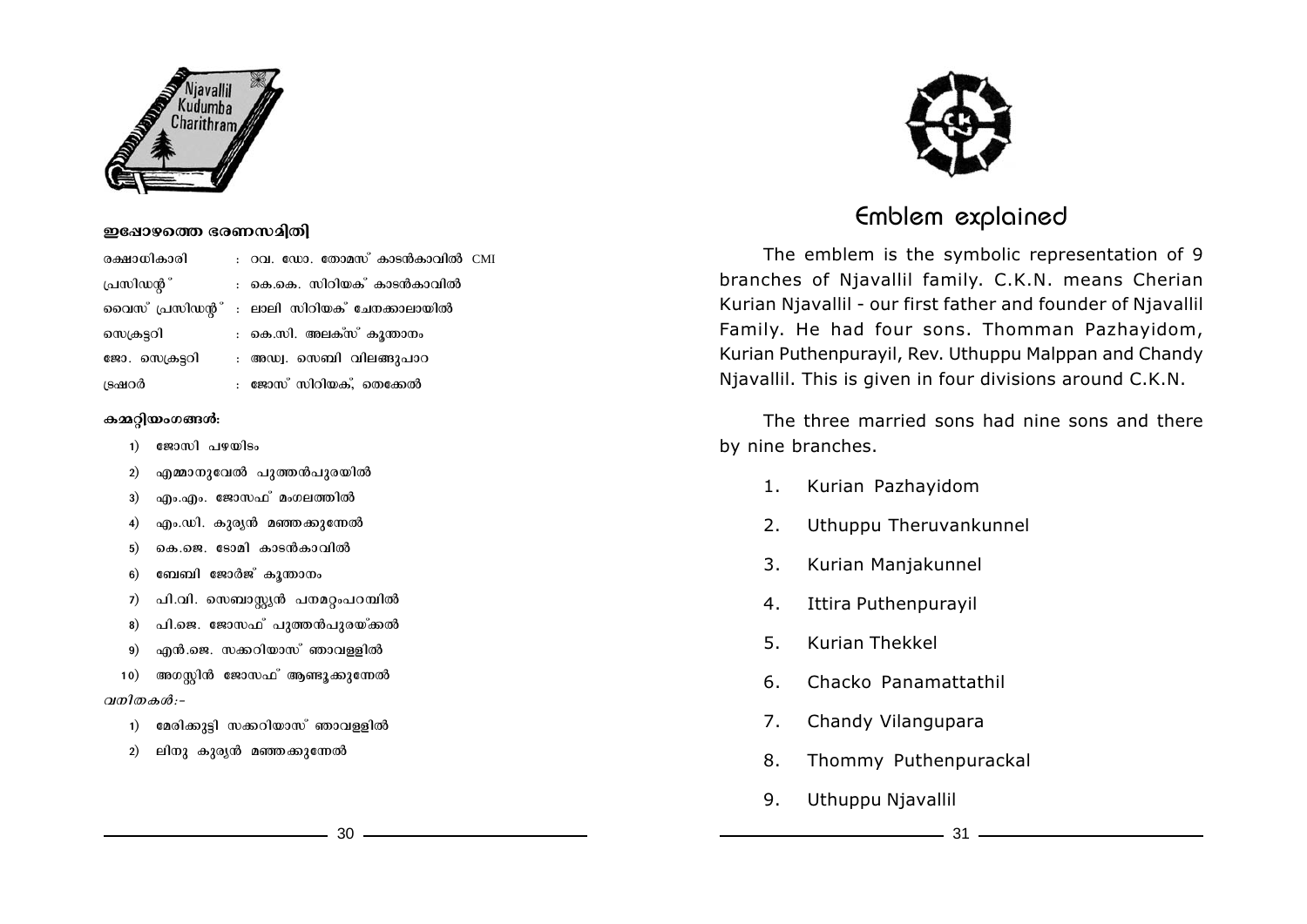

## ഇഷോഴത്തെ ഭരണസമിതി

രക്ഷാധികാരി : റവ. ഡോ. തോമസ് കാടൻകാവിൽ CMI (പസിഡന്റ<sup>്</sup> : കെ.കെ. സിറിയക് കാടൻകാവിൽ ചൈസ് പ്രസിഡന്റ $\degree$  : ലാലി സിറിയക $\degree$  ചേനക്കാലായിൽ സെക്രട്ടറി ക.സി. അലക്സ് കൂന്താനം ജോ. സെക്രട്ടറി $\cdots$  അഡ്വ. സെബി വിലങ്ങുപാറ {Sj-d¿ : tPmkv kndn-b-Iv, sXt°¬

## കമ്മറിയംഗങ്ങൾ:

- $1)$   $\exp(0.190)$ so
- 2) എമ്മാനുവേൽ പുത്തൻപുരയിൽ
- 3) എം.എം. ജോസഫ് മംഗലത്തിൽ
- 4) എം.ഡി. കുരൃൻ മഞ്ഞക്കുന്നേൽ
- 5) കെ.ജെ. ടോമി കാടൻകാവിൽ
- 6) ബേബി ജോർജ് കൂന്താനം
- 7) പി.വി. സെബാസ്റ്റ്യൻ പനമറ്റംപറമ്പിൽ
- 8) പി.ജെ. ജോസഫ് പുത്തൻപുരയ്ക്കൽ
- 9) എൻ.ജെ. സക്കറിയാസ് ഞാവള്ളിൽ
- 10) അഗസ്റ്റിൻ ജോസഫ<sup>്</sup> ആണ്ടുക്കുന്നേൽ *<i><u><i>p*</u>  $\theta$ :-
	- 1) മേരിക്കുട്ടി സക്കറിയാസ് ഞാവള്ളിൽ
	- 2) ലിനു കുരൃൻ മഞ്ഞക്കുന്നേൽ



## Emblem explained

The emblem is the symbolic representation of 9 branches of Njavallil family. C.K.N. means Cherian Kurian Njavallil - our first father and founder of Njavallil Family. He had four sons. Thomman Pazhayidom, Kurian Puthenpurayil, Rev. Uthuppu Malppan and Chandy Njavallil. This is given in four divisions around C.K.N.

The three married sons had nine sons and there by nine branches.

- 1. Kurian Pazhayidom
- 2. Uthuppu Theruvankunnel
- 3. Kurian Manjakunnel
- 4. Ittira Puthenpurayil
- 5. Kurian Thekkel
- 6. Chacko Panamattathil
- 7. Chandy Vilangupara
- 8. Thommy Puthenpurackal
- 9. Uthuppu Njavallil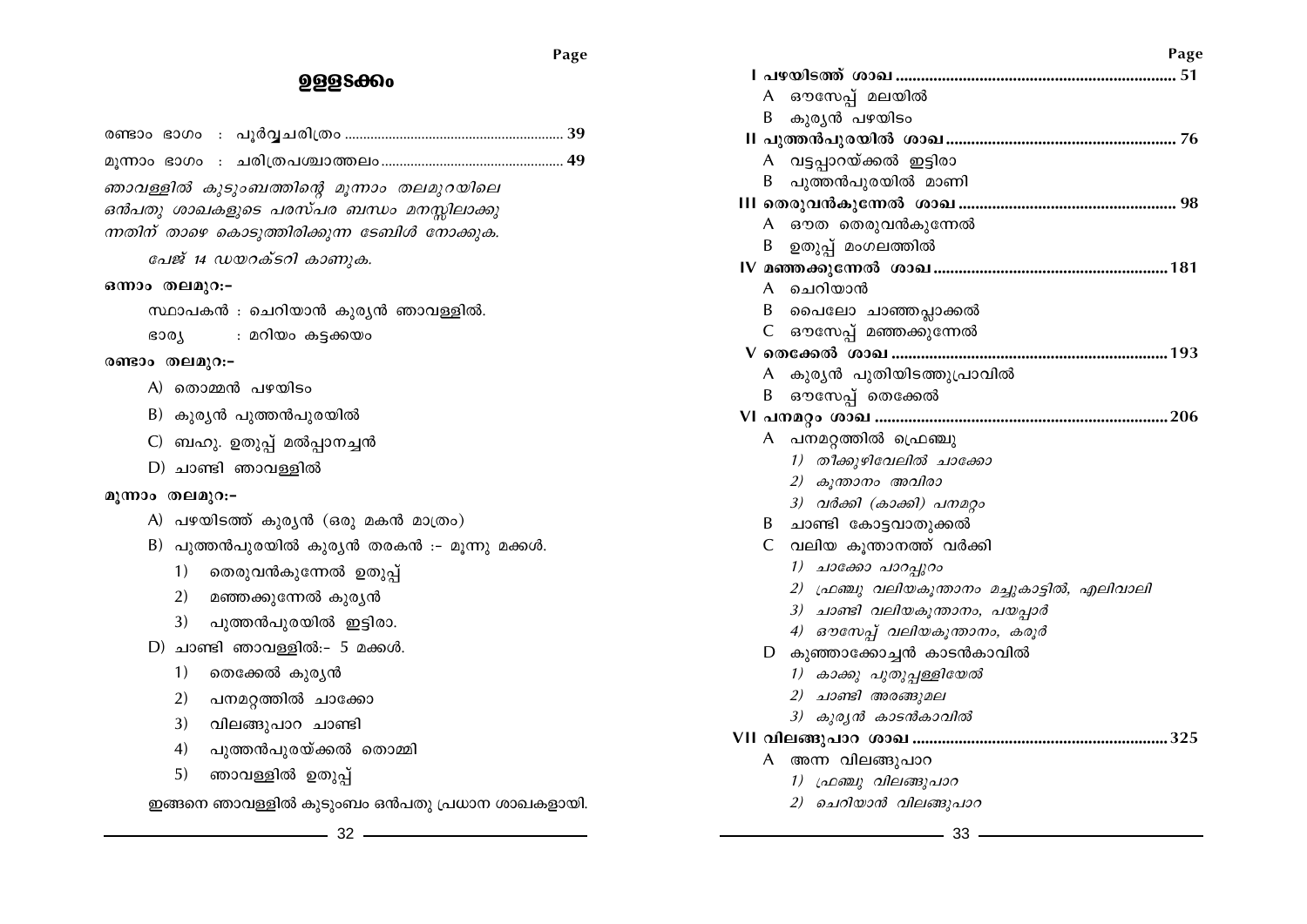$32 -$ 

ഇങ്ങനെ ഞാവള്ളിൽ കുടുംബം ഒൻപതു പ്രധാന ശാഖകളായി.

- ഞാവള്ളിൽ ഉതുപ്പ് 5)
- $4)$ പുത്തൻപുരയ്ക്കൽ തൊമ്മി
- വിലങ്ങുപാറ ചാണ്ടി  $3)$
- പനമറ്റത്തിൽ ചാക്കോ 2)
- 1) തെക്കേൽ കുര്യൻ
- $D)$  ചാണ്ടി ഞാവള്ളിൽ:- 5 മക്കൾ.
- പുത്തൻപുരയിൽ ഇട്ടിരാ. 3<sup>)</sup>
- മഞ്ഞക്കുന്നേൽ കുര്യൻ 2)
- 1) തെരുവൻകുന്നേൽ ഉതുപ്പ്
- B) പുത്തൻപുരയിൽ കുര്യൻ തരകൻ :- മൂന്നു മക്കൾ.
- A) പഴയിടത്ത് കുര്യൻ (ഒരു മകൻ മാത്രം)

## മുന്നാം തലമുറ:-

- D) ചാണ്ടി ഞാവള്ളിൽ
- C) ബഹു. ഉതുപ്പ് മൽപ്പാനച്ചൻ
- B) കുര്യൻ പുത്തൻപുരയിൽ
- A) തൊമ്മൻ പഴയിടം
- രണ്ടാം തലമുറ:-
- **GOOT** : മറിയം കട്ടക്കയം
- സ്ഥാപകൻ : ചെറിയാൻ കുര്യൻ ഞാവള്ളിൽ.
- 

ന്നതിന് താഴെ കൊടുത്തിരിക്കുന്ന ടേബിൾ നോക്കുക.

പേജ് 14 ഡയറക്ടറി കാണുക.

## ഒന്നാം തലമുറ:-

ഞാവള്ളിൽ കുടുംബത്തിന്റെ മൂന്നാം തലമുറയിലെ ഒൻപതു ശാഖകളുടെ പരസ്പര ബന്ധം മനസ്സിലാക്കു

# 

**999S**800

- 33
- 2) ചെറിയാൻ വിലങ്ങുപാറ
- 1) ഫ്രഞ്ചു വിലങ്ങുപാറ
- A അന്ന വിലങ്ങുപാറ

## 

- 3) കുര്യൻ കാടൻകാവിൽ
- 2) ചാണ്ടി അരങ്ങുമല
- 1) കാക്കു പുതുപ്പള്ളിയേൽ
- D കുഞ്ഞാക്കോച്ചൻ കാടൻകാവിൽ
- 4) ഔസേപ്പ് വലിയകുന്താനം, കരൂർ
- 3) ചാണ്ടി വലിയകൂന്താനം, പയപ്പാർ
- 2) ഫ്രഞ്ചു വലിയകുന്താനം മച്ചുകാട്ടിൽ, എലിവാലി
- 1) ചാക്കോ പാറപ്പുറം
- C വലിയ കുന്താനത്ത് വർക്കി
- B ചാണ്ടി കോട്ടവാതുക്കൽ
- 3) വർക്കി (കാക്കി) പനമറ്റാ
- 2) കുന്താനം അവിരാ

A ഔസേപ് മലയിൽ

- 1) തീക്കുഴിവേലിൽ ചാക്കോ
- A പനമറത്തിൽ ഫ്രെഞ്ചു
- A ചെറിയാൻ B പൈലോ ചാഞ്ഞപ്പാക്കൽ C ഔസേപ്പ് മഞ്ഞക്കുന്നേൽ A കുര്യൻ പുതിയിടത്തുപ്രാവിൽ B ഔസേപ്പ് തെക്കേൽ
- A ഔത തെരുവൻകുന്നേൽ B ഉതുപ്പ് മംഗലത്തിൽ
- A വട്ടപാറയ്ക്കൽ ഇട്ടിരാ B പുത്തൻപുരയിൽ മാണി
- B കുര്യൻ പഴയിടം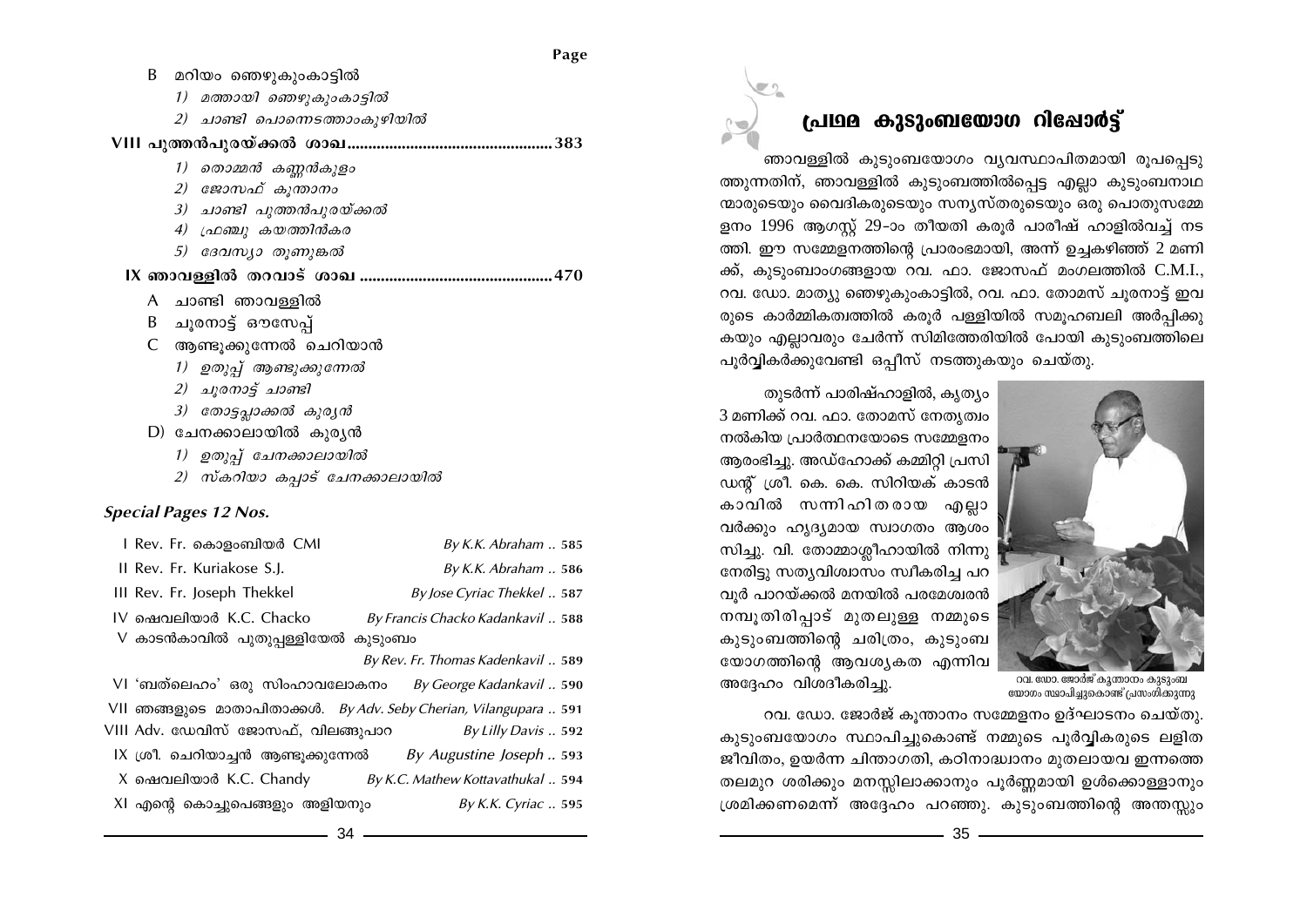| B | മറിയം ഞെഴുകുംകാട്ടിൽ            |  |  |  |
|---|---------------------------------|--|--|--|
|   | മത്തായി ഞെഴുകുംകാട്ടിൽ<br>1)    |  |  |  |
|   | 2) ചാണ്ടി പൊന്നെടത്താംകുഴിയിൽ   |  |  |  |
|   |                                 |  |  |  |
|   | 1) തൊമ്മൻ കണ്ണൻകുളം             |  |  |  |
|   | 2) ജോസഫ് കൂന്താനം               |  |  |  |
|   | 3) ചാണ്ടി പുത്തൻപുരയ്ക്കൽ       |  |  |  |
|   | 4) ഫ്രഞ്ചു കയത്തിൻകര            |  |  |  |
|   | 5) ദേവസ്യാ തൂണുങ്കൽ             |  |  |  |
|   |                                 |  |  |  |
|   |                                 |  |  |  |
|   | A ചാണ്ടി ഞാവള്ളിൽ               |  |  |  |
| B | ചൂരനാട്ട് ഔസേപ്പ്               |  |  |  |
|   | C ആണ്ടൂക്കുന്നേൽ ചെറിയാൻ        |  |  |  |
|   | 1) ഉതുപ്പ് ആണ്ടുക്കുന്നേൽ       |  |  |  |
|   | 2) ചൂരനാട്ട് ചാണ്ടി             |  |  |  |
|   | 3) തോട്ടപ്പാക്കൽ കുര്യൻ         |  |  |  |
|   | D) ചേനക്കാലായിൽ കുരൃൻ           |  |  |  |
|   | 1) ഉതുപ്പ് ചേനക്കാലായിൽ         |  |  |  |
|   | 2) സ്കറിയാ കപ്പാട് ചേനക്കാലായിൽ |  |  |  |

## **Special Pages 12 Nos.**

| l Rev. Fr. കൊളംബിയർ CMI            | By K.K. Abraham. . 585            |
|------------------------------------|-----------------------------------|
| II Rev. Fr. Kuriakose S.J.         | By K.K. Abraham  586              |
| III Rev. Fr. Joseph Thekkel        | By Jose Cyriac Thekkel  587       |
| IV ഷെവലിയാർ K.C. Chacko            | By Francis Chacko Kadankavil  588 |
| V കാടൻകാവിൽ പുതുപ്പള്ളിയേൽ കുടുംബം |                                   |

By Rev. Fr. Thomas Kadenkavil .. 589

VI 'ബത്ലെഹം' ഒരു സിംഹാവലോകനം By George Kadankavil .. 590 VII ഞങ്ങളുടെ മാതാപിതാക്കൾ. By Adv. Seby Cherian, Vilangupara .. 591 VIII Adv. ഡേവിസ് ജോസഫ്, വിലങ്ങുപാറ By Lilly Davis .. 592 IX ശ്രീ. ചെറിയാച്ചൻ ആണ്ടുക്കുന്നേൽ By Augustine Joseph .. 593 X ഷെവലിയാർ K.C. Chandy By K.C. Mathew Kottavathukal .. 594 XI എന്റെ കൊച്ചുപെങ്ങളും അളിയനും By K.K. Cyriac .. 595

# പ്രഥമ കുടുംബയോഗ റിഷോർട്ട്

ഞാവള്ളിൽ കൂടുംബയോഗം വ്യവസ്ഥാപിതമായി രൂപപ്പെടു ത്തുന്നതിന്, ഞാവള്ളിൽ കൂടുംബത്തിൽപെട്ട എല്ലാ കൂടുംബനാഥ ന്മാരുടെയും വൈദികരുടെയും സന്യസ്തരുടെയും ഒരു പൊതുസമ്മേ ളനം 1996 ആഗസ്റ്റ് 29-ാം തീയതി കരൂർ പാരീഷ് ഹാളിൽവച്ച് നട ത്തി. ഈ സമ്മേളനത്തിന്റെ പ്രാരംഭമായി, അന്ന് ഉച്ചകഴിഞ്ഞ് 2 മണി ക്ക്, കുടുംബാംഗങ്ങളായ റവ. ഫാ. ജോസഫ് മംഗലത്തിൽ C.M.I., റവ. ഡോ. മാത്യു ഞെഴുകുംകാട്ടിൽ, റവ. ഫാ. തോമസ് ചുരനാട്ട് ഇവ രുടെ കാർമ്മികത്വത്തിൽ കരൂർ പള്ളിയിൽ സമൂഹബലി അർപ്പിക്കു കയും എല്ലാവരും ചേർന്ന് സിമിത്തേരിയിൽ പോയി കുടുംബത്തിലെ പൂർവ്വികർക്കുവേണ്ടി ഒപ്പീസ് നടത്തുകയും ചെയ്തു.



റവ. ഡോ. ജോർജ് കൂന്താനം കുടുംബ യോഗം സ്ഥാപിച്ചുകൊണ്ട് പ്രസംഗിക്കുന്നു

3 മണിക്ക് റവ. ഫാ. തോമസ് നേതൃത്വം നൽകിയ പ്രാർത്ഥനയോടെ സമ്മേളനം ആരംഭിച്ചു. അഡ്ഹോക്ക് കമ്മിറ്റി പ്രസി ഡന്റ് ശ്രീ. കെ. കെ. സിറിയക് കാടൻ കാവിൽ സന്നിഹിതരായ എല്ലാ വർക്കും ഹൃദ്യമായ സ്വാഗതം ആശം സിച്ചു. വി. തോമ്മാശ്ലീഹായിൽ നിന്നു നേരിട്ടു സത്യവിശ്വാസം സ്വീകരിച്ച പറ വുർ പാറയ്ക്കൽ മനയിൽ പരമേശ്വരൻ നമ്പൂതിരിപ്പാട് മുതലുള്ള നമ്മുടെ കുടുംബത്തിന്റെ ചരിത്രം, കുടുംബ യോഗത്തിന്റെ ആവശ്യകത എന്നിവ അദ്ദേഹം വിശദീകരിച്ചു.

റവ. ഡോ. ജോർജ് കൂന്താനം സമ്മേളനം ഉദ്ഘാടനം ചെയ്തു. കുടുംബയോഗം സ്ഥാപിച്ചുകൊണ്ട് നമ്മുടെ പൂർവ്വികരുടെ ലളിത ജീവിതം, ഉയർന്ന ചിന്താഗതി, കഠിനാദ്ധ്വാനം മുതലായവ ഇന്നത്തെ തലമുറ ശരിക്കും മനസ്സിലാക്കാനും പൂർണ്ണമായി ഉൾക്കൊള്ളാനും ശ്രമിക്കണമെന്ന് അദ്ദേഹം പറഞ്ഞു. കുടുംബത്തിന്റെ അന്തസ്സും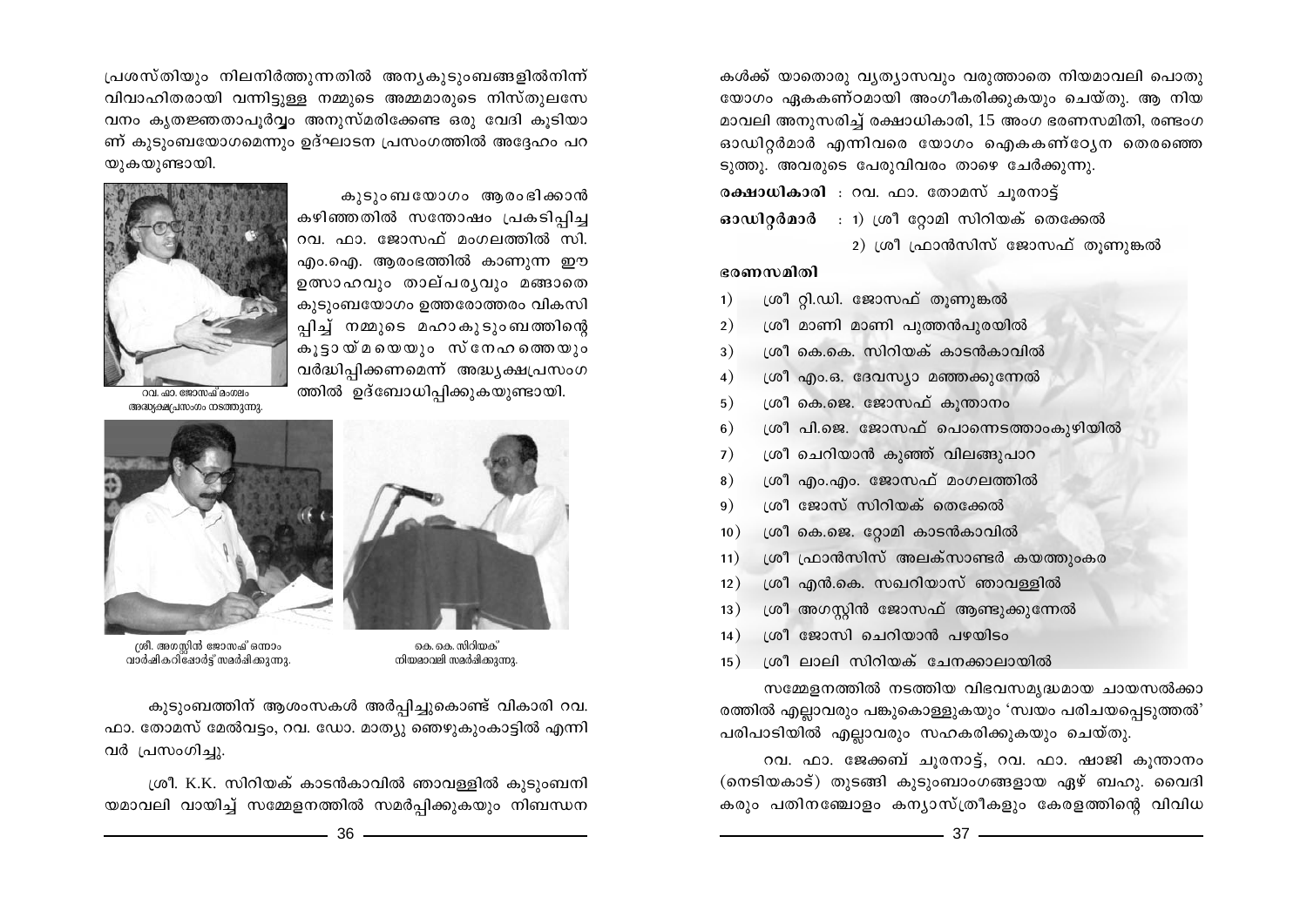കൾക്ക് യാതൊരു വ്യത്യാസവും വരുത്താതെ നിയമാവലി പൊതു യോഗം ഏകകണ്ഠമായി അംഗീകരിക്കുകയും ചെയ്തു. ആ നിയ മാവലി അനുസരിച്ച് രക്ഷാധികാരി, 15 അംഗ ഭരണസമിതി, രണ്ടംഗ ഓഡിറ്റർമാർ എന്നിവരെ യോഗം ഐകകണ്ഠ്യേന തെരഞ്ഞെ ടുത്തു. അവരുടെ പേരുവിവരം താഴെ ചേർക്കുന്നു.

രക്ഷാധികാരി : റവ. ഫാ. തോമസ് ചുരനാട്ട്  $\boldsymbol{\omega}$ ാഡിറ്റർമാർ : 1) ശ്രീ റ്റോമി സിറിയക് തെക്കേൽ 2) ശ്രീ ഫ്രാൻസിസ് ജോസഫ് തൂണുങ്കൽ

## ഭരണസമിതി

- ശ്രീ റ്റി.ഡി. ജോസഫ് തൂണുങ്കൽ  $\left( \right)$
- ശ്രീ മാണി മാണി പുത്തൻപുരയിൽ  $2)$
- ശ്രീ കെ.കെ. സിറിയക് കാടൻകാവിൽ  $3)$
- ശ്രീ എം.ഒ. ദേവസ്യാ മഞ്ഞക്കുന്നേൽ  $\overline{4}$
- ശ്രീ കെ.ജെ. ജോസഫ് കൂന്താനം  $5)$
- ശ്രീ പി.ജെ. ജോസഫ് പൊന്നെടത്താംകുഴിയിൽ  $6)$
- ശ്രീ ചെറിയാൻ കുഞ്ഞ് വിലങ്ങുപാറ  $7)$
- ശ്രീ എം.എം. ജോസഫ് മംഗലത്തിൽ 8)
- ശ്രീ ജോസ് സിറിയക് തെക്കേൽ 9<sup>)</sup>
- ശ്രീ കെ.ജെ. റ്റോമി കാടൻകാവിൽ  $10)$
- ശ്രീ ഫ്രാൻസിസ് അലക്സാണ്ടർ കയത്തുംകര  $11)$
- ശ്രീ എൻ.കെ. സഖറിയാസ് ഞാവള്ളിൽ  $12)$
- ശ്രീ അഗസ്റ്റിൻ ജോസഫ് ആണ്ടുക്കുന്നേൽ  $13)$
- ശ്രീ ജോസി ചെറിയാൻ പഴയിടം  $14)$
- ശ്രീ ലാലി സിറിയക് ചേനക്കാലായിൽ  $15)$

സമ്മേളനത്തിൽ നടത്തിയ വിഭവസമൃദ്ധമായ ചായസൽക്കാ രത്തിൽ എല്ലാവരും പങ്കുകൊള്ളുകയും 'സ്വയം പരിചയപ്പെടുത്തൽ' പരിപാടിയിൽ എല്ലാവരും സഹകരിക്കുകയും ചെയ്തു.

റവ. ഫാ. ജേക്കബ് ചുരനാട്ട്, റവ. ഫാ. ഷാജി കുന്താനം (നെടിയകാട്) തുടങ്ങി കുടുംബാംഗങ്ങളായ ഏഴ് ബഹു. വൈദി കരും പതിനഞ്ചോളം കന്യാസ്ത്രീകളും കേരളത്തിന്റെ വിവിധ

പ്രശസ്തിയും നിലനിർത്തുന്നതിൽ അന്യകുടുംബങ്ങളിൽനിന്ന് വിവാഹിതരായി വന്നിട്ടുള്ള നമ്മുടെ അമ്മമാരുടെ നിസ്തുലസേ വനം കൃതജ്ഞതാപൂർവ്വം അനുസ്മരിക്കേണ്ട ഒരു വേദി കൂടിയാ ണ് കുടുംബയോഗമെന്നും ഉദ്ഘാടന പ്രസംഗത്തിൽ അദ്ദേഹം പറ യുകയുണ്ടായി.

> കൂടുംബയോഗം ആരംഭിക്കാൻ കഴിഞ്ഞതിൽ സന്തോഷം പ്രകടിപ്പിച്ച റവ. ഫാ. ജോസഫ് മംഗലത്തിൽ സി. എം.ഐ. ആരംഭത്തിൽ കാണുന്ന ഈ ഉത്സാഹവും താല്പര്യവും മങ്ങാതെ കുടുംബയോഗം ഉത്തരോത്തരം വികസി പ്പിച്ച് നമ്മുടെ മഹാകുടുംബത്തിന്റെ .<br>കൂട്ടായ്മയെയും സ്നേഹത്തെയും വർദ്ധിപ്പിക്കണമെന്ന് അദ്ധ്യക്ഷപ്രസംഗ ത്തിൽ ഉദ്ബോധിപ്പിക്കുകയുണ്ടായി.



റവ. ഹ്മാ. ജോസഫ് മംഗലം അദ്ധ്യക്ഷപ്രസംഗം നടത്തുന്നു.



കെ. കെ. സിറിയക് നിയമാവലി സമർഷിക്കുന്നു.



ശ്രീ. അഗസ്റ്റിൻ ജോസഫ് ഒന്നാം<br>വാർഷികറിദോർട്ട് സമർഷിക്കുന്നു.

കുടുംബത്തിന് ആശംസകൾ അർപ്പിച്ചുകൊണ്ട് വികാരി റവ. ഫാ. തോമസ് മേൽവട്ടം, റവ. ഡോ. മാത്യു ഞെഴുകുംകാട്ടിൽ എന്നി വർ പ്രസംഗിച്ചു.

ശ്രീ. K.K. സിറിയക് കാടൻകാവിൽ ഞാവള്ളിൽ കുടുംബനി യമാവലി വായിച്ച് സമ്മേളനത്തിൽ സമർപ്പിക്കുകയും നിബന്ധന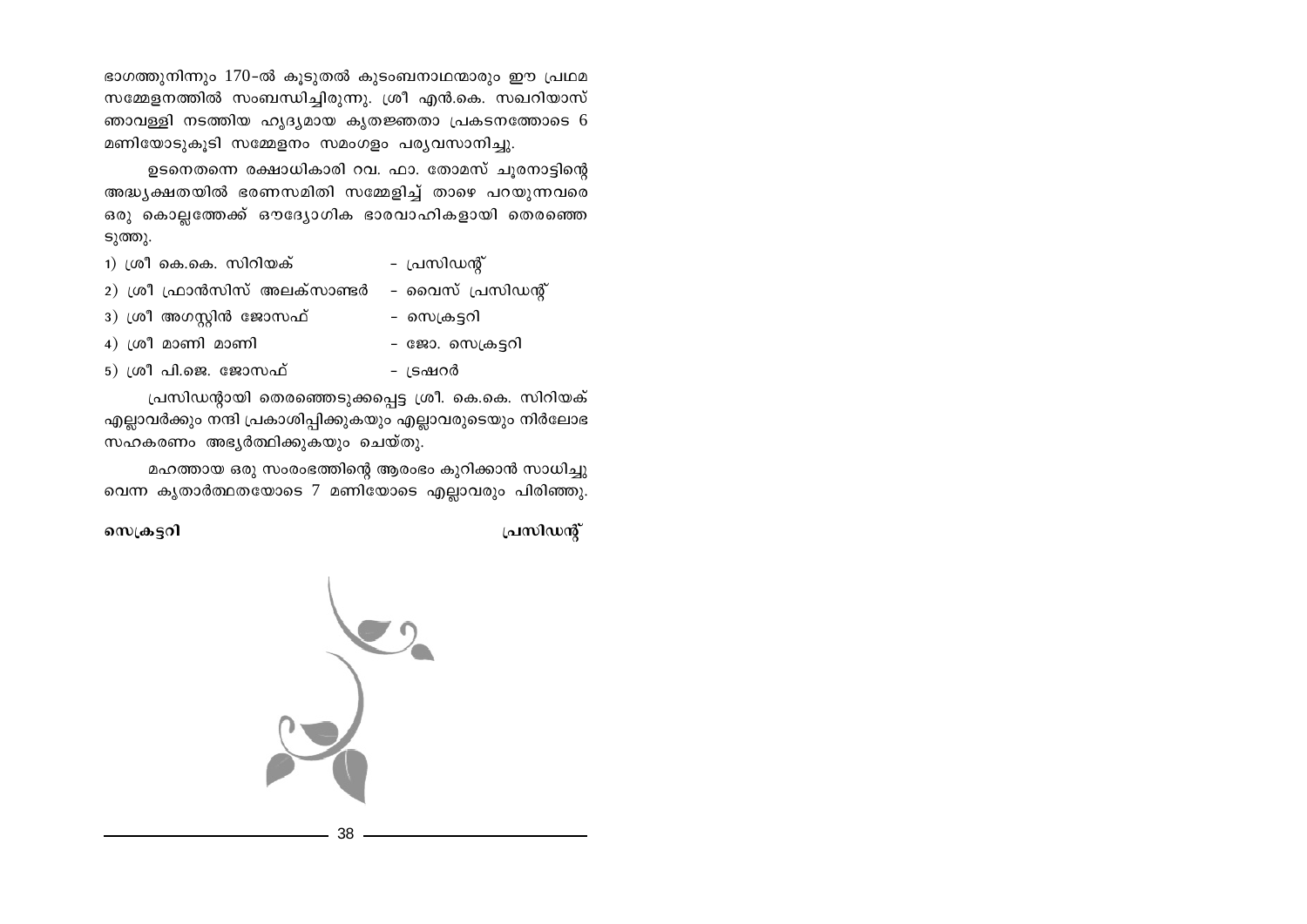ഭാഗത്തുനിന്നും 170-ൽ കുടുതൽ കുടംബനാഥന്മാരും ഈ പ്രഥമ സമ്മേളനത്തിൽ സംബന്ധിച്ചിരുന്നു. ശ്രീ എൻ.കെ. സഖറിയാസ് ഞാവള്ളി നടത്തിയ ഹൃദ്യമായ കൃതജ്ഞതാ പ്രകടനത്തോടെ 6 മണിയോടുകൂടി സമ്മേളനം സമംഗളം പര്യവസാനിച്ചു.

ഉടനെതന്നെ രക്ഷാധികാരി റവ. ഫാ. തോമസ് ചുരനാട്ടിന്റെ അദ്ധ്യക്ഷതയിൽ ഭരണസമിതി സമ്മേളിച്ച് താഴെ പറയുന്നവരെ ഒരു കൊല്ലത്തേക്ക് ഔദ്യോഗിക ഭാരവാഹികളായി തെരഞ്ഞെ ടുത്തു.

- 1) ശ്രീ കെ.കെ. സിറിയക് - പ്രസിഡന്റ്
- 2) ശ്രീ ഫ്രാൻസിസ് അലക്സാണ്ടർ വൈസ് പ്രസിഡന്റ്
- 3) ശ്രീ അഗസ്റ്റിൻ ജോസഫ്
- സെക്രട്ടറി

- ദ്രഷറർ

4) ശ്രീ മാണി മാണി

- ജോ. സെക്രട്ടറി
- $5)$  ശ്രീ പി.ജെ. ജോസഫ്

പ്രസിഡന്റായി തെരഞ്ഞെടുക്കപ്പെട്ട ശ്രീ. കെ.കെ. സിറിയക് എല്ലാവർക്കും നന്ദി പ്രകാശിപ്പിക്കുകയും എല്ലാവരുടെയും നിർലോഭ സഹകരണം അഭ്യർത്ഥിക്കുകയും ചെയ്തു.

മഹത്തായ ഒരു സംരംഭത്തിന്റെ ആരംഭം കുറിക്കാൻ സാധിച്ചു വെന്ന കൃതാർത്ഥതയോടെ 7 മണിയോടെ എല്ലാവരും പിരിഞ്ഞു.

പ്രസിഡന്റ്

സെക്രട്ടറി

 $\sum_{i=1}^{n}$ 

38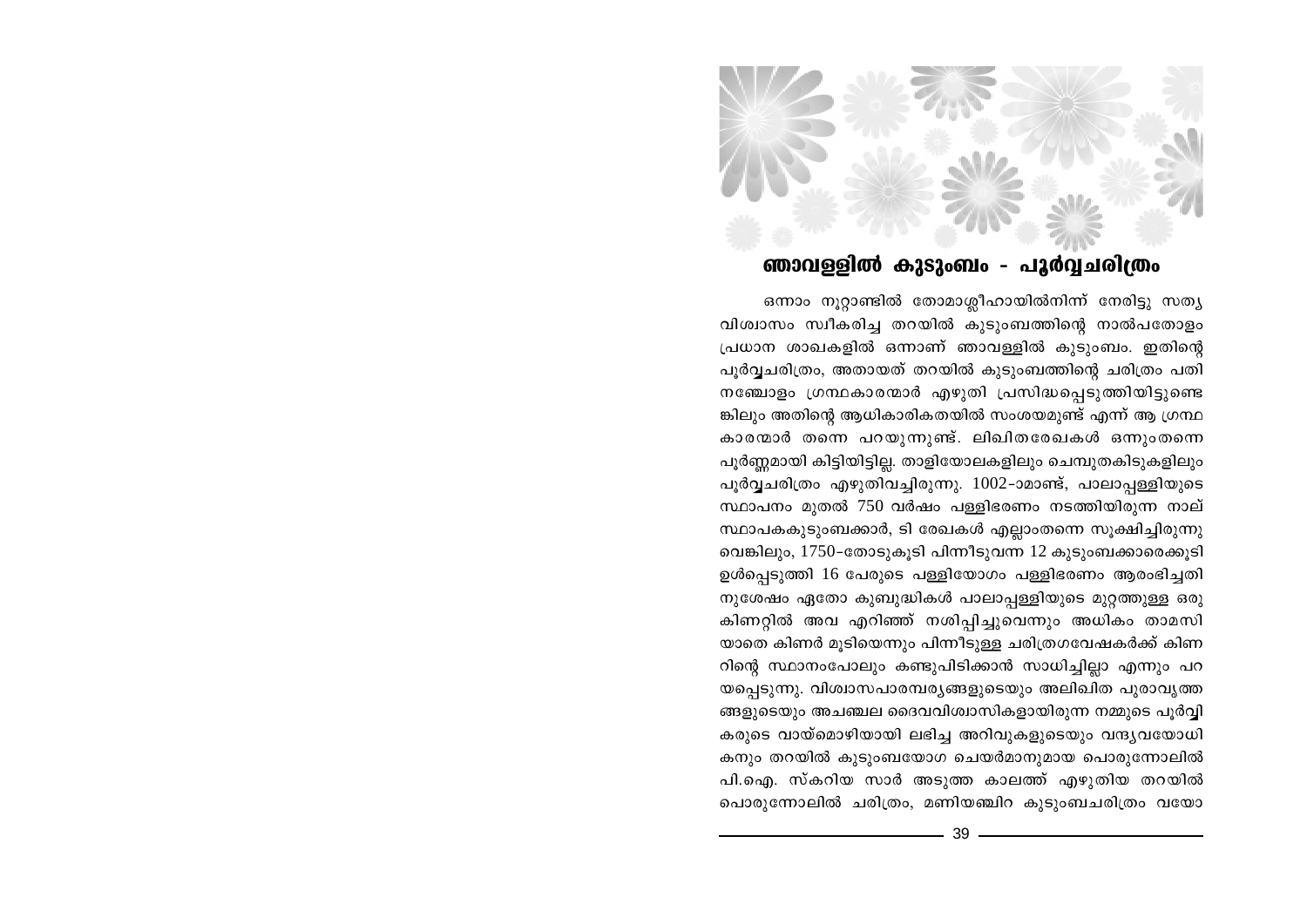## ഞാവള്ളിൽ കുടുംബം - പൂർവ്വചരിത്രം

ഒന്നാം നൂറ്റാണ്ടിൽ തോമാശ്ലീഹായിൽനിന്ന് നേരിട്ടു സത്യ വിശ്വാസം സ്വീകരിച്ച തറയിൽ കുടുംബത്തിന്റെ നാൽപതോളം പ്രധാന ശാഖകളിൽ ഒന്നാണ് ഞാവള്ളിൽ കുടുംബം. ഇതിന്റെ പൂർവ്വചരിത്രം, അതായത് തറയിൽ കൂടുംബത്തിന്റെ ചരിത്രം പതി നഞ്ചോളം ഗ്രന്ഥകാരന്മാർ എഴുതി പ്രസിദ്ധപ്പെടുത്തിയിട്ടുണ്ടെ ങ്കിലും അതിന്റെ ആധികാരികതയിൽ സംശയമുണ്ട് എന്ന് ആ ഗ്രന്ഥ കാരന്മാർ തന്നെ പറയുന്നുണ്ട്. ലിഖിതരേഖകൾ ഒന്നുംതന്നെ പൂർണ്ണമായി കിട്ടിയിട്ടില്ല. താളിയോലകളിലും ചെമ്പുതകിടുകളിലും പൂർവ്വചരിത്രം എഴുതിവച്ചിരുന്നു. 1002-ാമാണ്ട്, പാലാപ്പള്ളിയുടെ സ്ഥാപനം മുതൽ 750 വർഷം പള്ളിഭരണം നടത്തിയിരുന്ന നാല് സ്ഥാപകകുടുംബക്കാർ, ടി രേഖകൾ എല്ലാംതന്നെ സൂക്ഷിച്ചിരുന്നു വെങ്കിലും, 1750-തോടുകൂടി പിന്നീടുവന്ന 12 കുടുംബക്കാരെക്കൂടി ഉൾപ്പെടുത്തി 16 പേരുടെ പള്ളിയോഗം പള്ളിഭരണം ആരംഭിച്ചതി നുശേഷം ഏതോ കുബുദ്ധികൾ പാലാപ്പള്ളിയുടെ മുറ്റത്തുള്ള ഒരു കിണറ്റിൽ അവ എറിഞ്ഞ് നശിപ്പിച്ചുവെന്നും അധികം താമസി യാതെ കിണർ മൂടിയെന്നും പിന്നീടുള്ള ചരിത്രഗവേഷകർക്ക് കിണ റിന്റെ സ്ഥാനംപോലും കണ്ടുപിടിക്കാൻ സാധിച്ചില്ലാ എന്നും പറ യപ്പെടുന്നു. വിശ്വാസപാരമ്പര്യങ്ങളുടെയും അലിഖിത പുരാവൃത്ത ങ്ങളുടെയും അചഞ്ചല ദൈവവിശ്വാസികളായിരുന്ന നമ്മുടെ പൂർവ്വി കരുടെ വായ്മൊഴിയായി ലഭിച്ച അറിവുകളുടെയും വന്ദ്യവയോധി കനും തറയിൽ കുടുംബയോഗ ചെയർമാനുമായ പൊരുന്നോലിൽ പി.ഐ. സ്കറിയ സാർ അടുത്ത കാലത്ത് എഴുതിയ തറയിൽ പൊരുന്നോലിൽ ചരിത്രം, മണിയഞ്ചിറ കൂടുംബചരിത്രം വയോ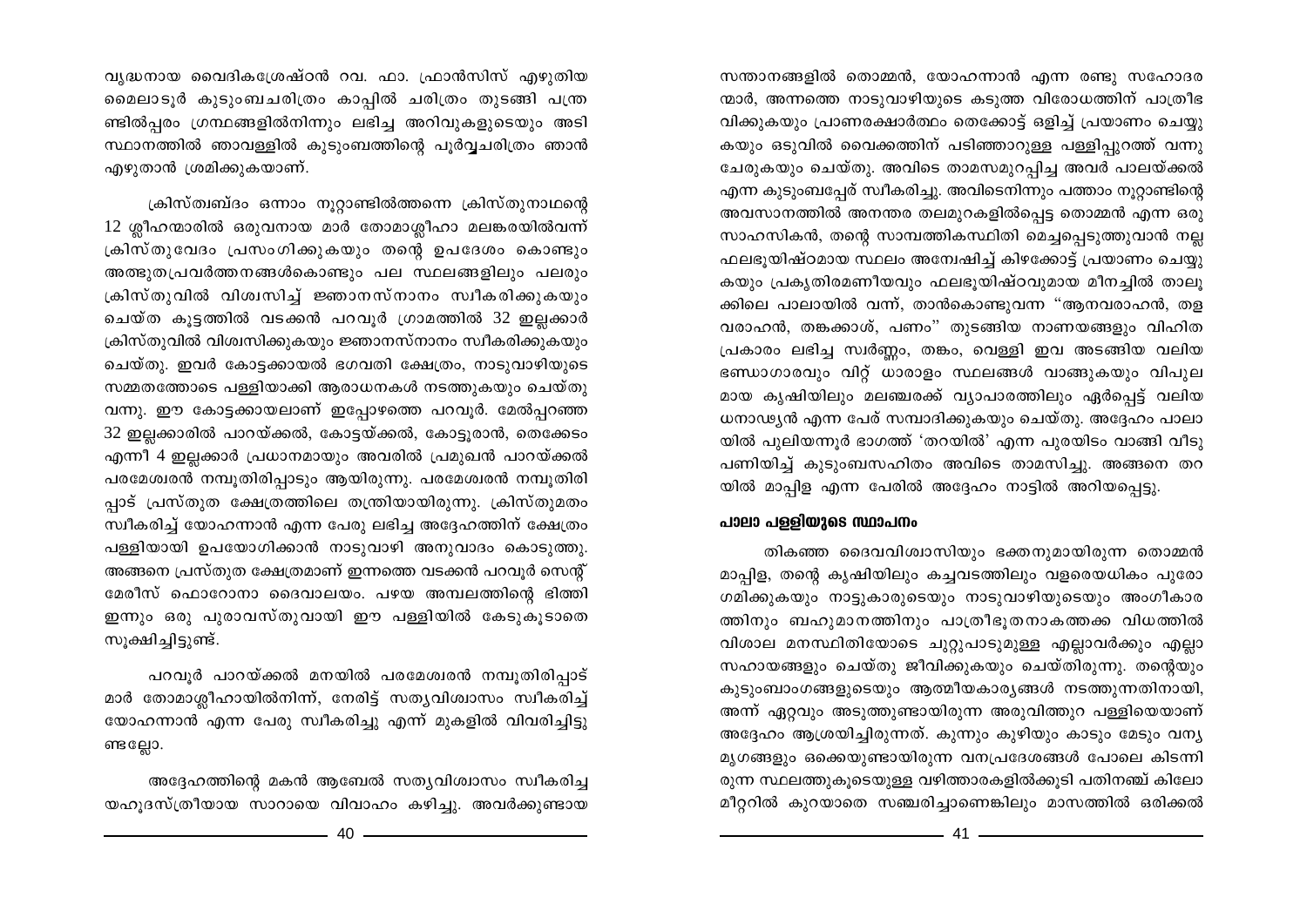സന്താനങ്ങളിൽ തൊമ്മൻ, യോഹന്നാൻ എന്ന രണ്ടു സഹോദര ന്മാർ, അന്നത്തെ നാടുവാഴിയുടെ കടുത്ത വിരോധത്തിന് പാത്രീഭ വിക്കുകയും പ്രാണരക്ഷാർത്ഥം തെക്കോട്ട് ഒളിച്ച് പ്രയാണം ചെയ്യു കയും ഒടുവിൽ വൈക്കത്തിന് പടിഞ്ഞാറുള്ള പള്ളിപ്പുറത്ത് വന്നു ചേരുകയും ചെയ്തു. അവിടെ താമസമുറപിച്ച അവർ പാലയ്ക്കൽ എന്ന കുടുംബപ്പേര് സ്വീകരിച്ചു. അവിടെനിന്നും പത്താം നുറ്റാണ്ടിന്റെ അവസാനത്തിൽ അനന്തര തലമുറകളിൽപ്പെട്ട തൊമ്മൻ എന്ന ഒരു സാഹസികൻ, തന്റെ സാമ്പത്തികസ്ഥിതി മെച്ചപ്പെടുത്തുവാൻ നല്ല ഫലഭൂയിഷ്ഠമായ സ്ഥലം അന്വേഷിച്ച് കിഴക്കോട്ട് പ്രയാണം ചെയ്യു കയും പ്രകൃതിരമണീയവും ഫലഭൂയിഷ്ഠവുമായ മീനച്ചിൽ താലൂ ക്കിലെ പാലായിൽ വന്ന്, താൻകൊണ്ടുവന്ന "ആനവരാഹൻ, തള വരാഹൻ, തങ്കക്കാശ്, പണം" തുടങ്ങിയ നാണയങ്ങളും വിഹിത പ്രകാരം ലഭിച്ച സ്വർണ്ണം, തങ്കം, വെള്ളി ഇവ അടങ്ങിയ വലിയ ഭണ്ഡാഗാരവും വിറ്റ് ധാരാളം സ്ഥലങ്ങൾ വാങ്ങുകയും വിപുല മായ കൃഷിയിലും മലഞ്ചരക്ക് വ്യാപാരത്തിലും ഏർപ്പെട്ട് വലിയ ധനാഢ്യൻ എന്ന പേര് സമ്പാദിക്കുകയും ചെയ്തു. അദ്ദേഹം പാലാ യിൽ പുലിയന്നൂർ ഭാഗത്ത് 'തറയിൽ' എന്ന പുരയിടം വാങ്ങി വീടു പണിയിച്ച് കുടുംബസഹിതം അവിടെ താമസിച്ചു. അങ്ങനെ തറ യിൽ മാപ്പിള എന്ന പേരിൽ അദ്ദേഹം നാട്ടിൽ അറിയപ്പെട്ടു.

## പാലാ പള്ളിയുടെ സ്ഥാപനം

തികഞ്ഞ ദൈവവിശ്വാസിയും ഭക്തനുമായിരുന്ന തൊമ്മൻ മാപ്പിള, തന്റെ കൃഷിയിലും കച്ചവടത്തിലും വളരെയധികം പുരോ ഗമിക്കുകയും നാട്ടുകാരുടെയും നാടുവാഴിയുടെയും അംഗീകാര ത്തിനും ബഹുമാനത്തിനും പാത്രീഭൂതനാകത്തക്ക വിധത്തിൽ വിശാല മനസ്ഥിതിയോടെ ചുറ്റുപാടുമുള്ള എല്ലാവർക്കും എല്ലാ സഹായങ്ങളും ചെയ്തു ജീവിക്കുകയും ചെയ്തിരുന്നു. തന്റെയും കുടുംബാംഗങ്ങളുടെയും ആത്മീയകാര്യങ്ങൾ നടത്തുന്നതിനായി, അന്ന് ഏറ്റവും അടുത്തുണ്ടായിരുന്ന അരുവിത്തുറ പള്ളിയെയാണ് അദ്ദേഹം ആശ്രയിച്ചിരുന്നത്. കുന്നും കുഴിയും കാടും മേടും വന്യ മൃഗങ്ങളും ഒക്കെയുണ്ടായിരുന്ന വനപ്രദേശങ്ങൾ പോലെ കിടന്നി രുന്ന സ്ഥലത്തുകൂടെയുള്ള വഴിത്താരകളിൽക്കൂടി പതിനഞ്ച് കിലോ മീറ്ററിൽ കുറയാതെ സഞ്ചരിച്ചാണെങ്കിലും മാസത്തിൽ ഒരിക്കൽ

വൃദ്ധനായ വൈദികശ്രേഷ്ഠൻ റവ. ഫാ. ഫ്രാൻസിസ് എഴുതിയ മൈലാടൂർ കുടുംബചരിത്രം കാപ്പിൽ ചരിത്രം തുടങ്ങി പന്ത്ര ണ്ടിൽപ്പരം ഗ്രന്ഥങ്ങളിൽനിന്നും ലഭിച്ച അറിവുകളുടെയും അടി സ്ഥാനത്തിൽ ഞാവള്ളിൽ കുടുംബത്തിന്റെ പൂർവ്വചരിത്രം ഞാൻ എഴുതാൻ ശ്രമിക്കുകയാണ്.

ക്രിസ്ത്വബ്ദം ഒന്നാം നുറ്റാണ്ടിൽത്തന്നെ ക്രിസ്തുനാഥന്റെ 12 ശ്ലീഹന്മാരിൽ ഒരുവനായ മാർ തോമാശ്ലീഹാ മലങ്കരയിൽവന്ന് ക്രിസ്തുവേദം പ്രസംഗിക്കുകയും തന്റെ ഉപദേശം കൊണ്ടും അത്ഭുതപ്രവർത്തനങ്ങൾകൊണ്ടും പല സ്ഥലങ്ങളിലും പലരും ക്രിസ്തുവിൽ വിശ്വസിച്ച് ജ്ഞാനസ്നാനം സ്വീകരിക്കുകയും ചെയ്ത കൂട്ടത്തിൽ വടക്കൻ പറവൂർ ഗ്രാമത്തിൽ 32 ഇല്ലക്കാർ ക്രിസ്തുവിൽ വിശ്വസിക്കുകയും ജ്ഞാനസ്നാനം സ്വീകരിക്കുകയും ചെയ്തു. ഇവർ കോട്ടക്കായൽ ഭഗവതി ക്ഷേത്രം, നാടുവാഴിയുടെ സമ്മതത്തോടെ പള്ളിയാക്കി ആരാധനകൾ നടത്തുകയും ചെയ്തു വന്നു. ഈ കോട്ടക്കായലാണ് ഇപ്പോഴത്തെ പറവുർ. മേൽപ്പറഞ്ഞ 32 ഇല്ലക്കാരിൽ പാറയ്ക്കൽ, കോട്ടയ്ക്കൽ, കോട്ടൂരാൻ, തെക്കേടം എന്നീ 4 ഇല്ലക്കാർ പ്രധാനമായും അവരിൽ പ്രമുഖൻ പാറയ്ക്കൽ പരമേശ്വരൻ നമ്പൂതിരിപ്പാടും ആയിരുന്നു. പരമേശ്വരൻ നമ്പൂതിരി പ്പാട് പ്രസ്തുത ക്ഷേത്രത്തിലെ തന്ത്രിയായിരുന്നു. ക്രിസ്തുമതം സ്വീകരിച്ച് യോഹന്നാൻ എന്ന പേരു ലഭിച്ച അദ്ദേഹത്തിന് ക്ഷേത്രം പള്ളിയായി ഉപയോഗിക്കാൻ നാടുവാഴി അനുവാദം കൊടുത്തു. അങ്ങനെ പ്രസ്തുത ക്ഷേത്രമാണ് ഇന്നത്തെ വടക്കൻ പറവൂർ സെന്റ് മേരീസ് ഫൊറോനാ ദൈവാലയം. പഴയ അമ്പലത്തിന്റെ ഭിത്തി ഇന്നും ഒരു പൂരാവസ്തുവായി ഈ പള്ളിയിൽ കേടുകൂടാതെ സുക്ഷിച്ചിട്ടുണ്ട്.

പറവൂർ പാറയ്ക്കൽ മനയിൽ പരമേശ്വരൻ നമ്പൂതിരിപ്പാട് മാർ തോമാശ്ലീഹായിൽനിന്ന്, നേരിട്ട് സതൃവിശ്വാസം സ്വീകരിച്ച് യോഹന്നാൻ എന്ന പേരു സ്വീകരിച്ചു എന്ന് മുകളിൽ വിവരിച്ചിട്ടു ണ്ടല്ലോ.

അദ്ദേഹത്തിന്റെ മകൻ ആബേൽ സത്യവിശ്വാസം സ്വീകരിച്ച യഹൂദസ്ത്രീയായ സാറായെ വിവാഹം കഴിച്ചു. അവർക്കുണ്ടായ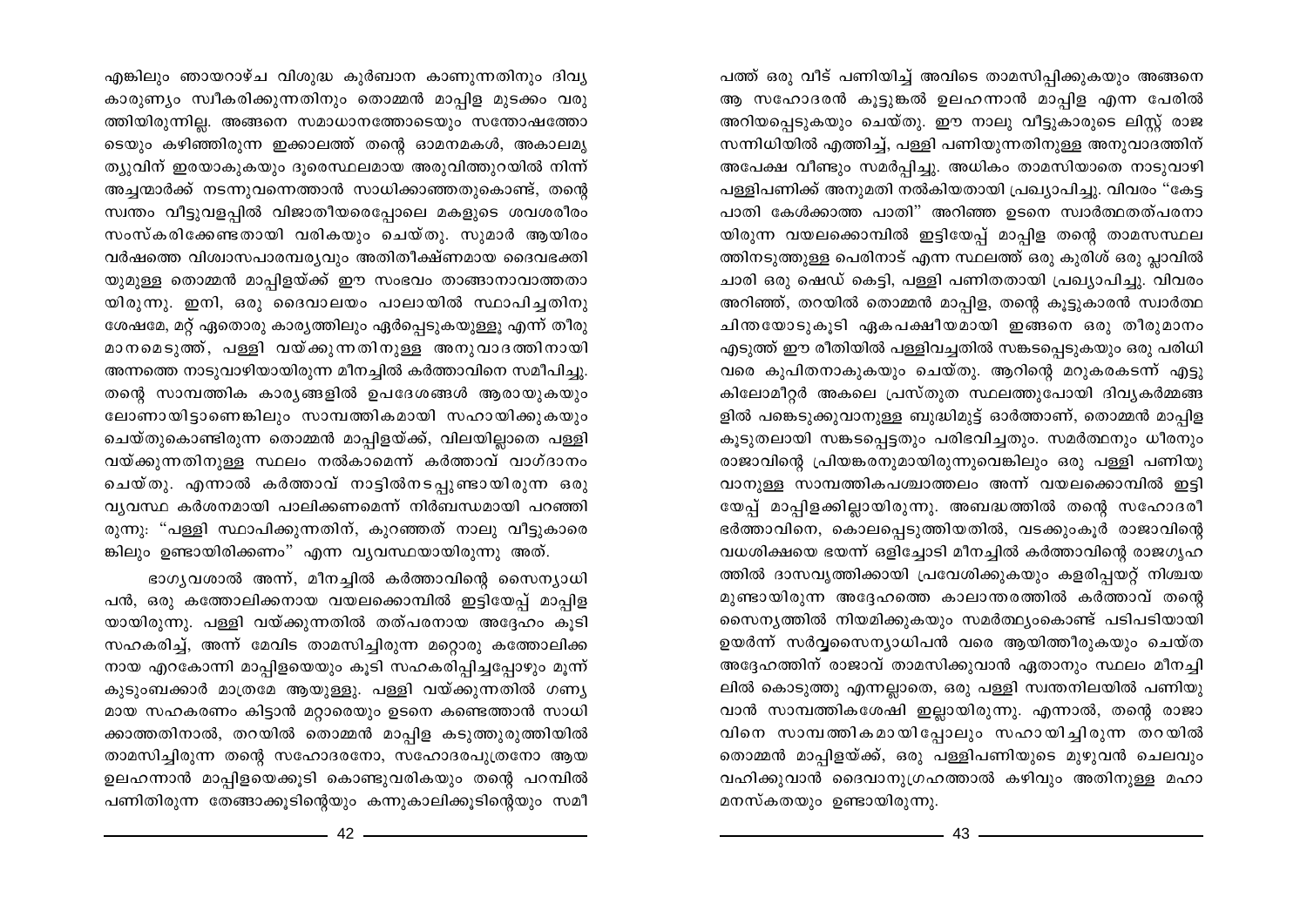പത്ത് ഒരു വീട് പണിയിച്ച് അവിടെ താമസിപ്പിക്കുകയും അങ്ങനെ ആ സഹോദരൻ കൂട്ടുങ്കൽ ഉലഹന്നാൻ മാപ്പിള എന്ന പേരിൽ അറിയപ്പെടുകയും ചെയ്തു. ഈ നാലു വീട്ടുകാരുടെ ലിസ്റ്റ് രാജ സന്നിധിയിൽ എത്തിച്ച്, പള്ളി പണിയുന്നതിനുള്ള അനുവാദത്തിന് അപേക്ഷ വീണ്ടും സമർപ്പിച്ചു. അധികം താമസിയാതെ നാടുവാഴി പള്ളിപണിക്ക് അനുമതി നൽകിയതായി പ്രഖ്യാപിച്ചു. വിവരം "കേട്ട പാതി കേൾക്കാത്ത പാതി" അറിഞ്ഞ ഉടനെ സ്വാർത്ഥതത്പരനാ യിരുന്ന വയലക്കൊമ്പിൽ ഇട്ടിയേപ്പ് മാപ്പിള തന്റെ താമസസ്ഥല ത്തിനടുത്തുള്ള പെരിനാട് എന്ന സ്ഥലത്ത് ഒരു കുരിശ് ഒരു പ്ലാവിൽ ചാരി ഒരു ഷെഡ് കെട്ടി, പള്ളി പണിതതായി പ്രഖ്യാപിച്ചു. വിവരം അറിഞ്ഞ്, തറയിൽ തൊമ്മൻ മാപ്പിള, തന്റെ കൂട്ടുകാരൻ സ്വാർത്ഥ ചിന്തയോടുകൂടി ഏകപക്ഷീയമായി ഇങ്ങനെ ഒരു തീരുമാനം എടുത്ത് ഈ രീതിയിൽ പള്ളിവച്ചതിൽ സങ്കടപ്പെടുകയും ഒരു പരിധി വരെ കുപിതനാകുകയും ചെയ്തു. ആറിന്റെ മറുകരകടന്ന് എട്ടു കിലോമീറ്റർ അകലെ പ്രസ്തുത സ്ഥലത്തുപോയി ദിവ്യകർമ്മങ്ങ ളിൽ പങ്കെടുക്കുവാനുള്ള ബുദ്ധിമുട്ട് ഓർത്താണ്, തൊമ്മൻ മാപ്പിള കൂടുതലായി സങ്കടപ്പെട്ടതും പരിഭവിച്ചതും. സമർത്ഥനും ധീരനും രാജാവിന്റെ പ്രിയങ്കരനുമായിരുന്നുവെങ്കിലും ഒരു പള്ളി പണിയു വാനുള്ള സാമ്പത്തികപശ്ചാത്തലം അന്ന് വയലക്കൊമ്പിൽ ഇട്ടി യേപ്പ് മാപ്പിളക്കില്ലായിരുന്നു. അബദ്ധത്തിൽ തന്റെ സഹോദരീ ഭർത്താവിനെ, കൊലപ്പെടുത്തിയതിൽ, വടക്കുംകൂർ രാജാവിന്റെ വധശിക്ഷയെ ഭയന്ന് ഒളിച്ചോടി മീനച്ചിൽ കർത്താവിന്റെ രാജഗൃഹ ത്തിൽ ദാസവൃത്തിക്കായി പ്രവേശിക്കുകയും കളരിപ്പയറ്റ് നിശ്ചയ മുണ്ടായിരുന്ന അദ്ദേഹത്തെ കാലാന്തരത്തിൽ കർത്താവ് തന്റെ സൈനൃത്തിൽ നിയമിക്കുകയും സമർത്ഥ്യംകൊണ്ട് പടിപടിയായി ഉയർന്ന് സർവ്വസൈന്യാധിപൻ വരെ ആയിത്തീരുകയും ചെയ്ത അദ്ദേഹത്തിന് രാജാവ് താമസിക്കുവാൻ ഏതാനും സ്ഥലം മീനച്ചി ലിൽ കൊടുത്തു എന്നല്ലാതെ, ഒരു പള്ളി സ്വന്തനിലയിൽ പണിയു വാൻ സാമ്പത്തികശേഷി ഇല്ലായിരുന്നു. എന്നാൽ, തന്റെ രാജാ വിനെ സാമ്പത്തികമായിപ്പോലും സഹായിച്ചിരുന്ന തറയിൽ തൊമ്മൻ മാപ്പിളയ്ക്ക്, ഒരു പള്ളിപണിയുടെ മുഴുവൻ ചെലവും വഹിക്കുവാൻ ദൈവാനുഗ്രഹത്താൽ കഴിവും അതിനുള്ള മഹാ മനസ്കതയും ഉണ്ടായിരുന്നു.

എങ്കിലും ഞായറാഴ്ച വിശുദ്ധ കൂർബാന കാണുന്നതിനും ദിവ്യ കാരുണ്യം സ്വീകരിക്കുന്നതിനും തൊമ്മൻ മാപ്പിള മുടക്കം വരു ത്തിയിരുന്നില്ല. അങ്ങനെ സമാധാനത്തോടെയും സന്തോഷത്തോ ടെയും കഴിഞ്ഞിരുന്ന ഇക്കാലത്ത് തന്റെ ഓമനമകൾ, അകാലമൃ ത്യുവിന് ഇരയാകുകയും ദുരെസ്ഥലമായ അരുവിത്തുറയിൽ നിന്ന് അച്ചന്മാർക്ക് നടന്നുവന്നെത്താൻ സാധിക്കാഞ്ഞതുകൊണ്ട്, തന്റെ സ്വന്തം വീട്ടുവളപ്പിൽ വിജാതീയരെപ്പോലെ മകളുടെ ശവശരീരം സംസ്കരിക്കേണ്ടതായി വരികയും ചെയ്തു. സുമാർ ആയിരം വർഷത്തെ വിശ്വാസപാരമ്പര്യവും അതിതീക്ഷ്ണമായ ദൈവഭക്തി യുമുള്ള തൊമ്മൻ മാപ്പിളയ്ക്ക് ഈ സംഭവം താങ്ങാനാവാത്തതാ യിരുന്നു. ഇനി, ഒരു ദൈവാലയം പാലായിൽ സ്ഥാപിച്ചതിനു ശേഷമേ, മറ്റ് ഏതൊരു കാര്യത്തിലും ഏർപ്പെടുകയുള്ളൂ എന്ന് തീരു മാനമെടുത്ത്, പള്ളി വയ്ക്കുന്നതിനുള്ള അനുവാദത്തിനായി അന്നത്തെ നാടുവാഴിയായിരുന്ന മീനച്ചിൽ കർത്താവിനെ സമീപിച്ചു. തന്റെ സാമ്പത്തിക കാര്യങ്ങളിൽ ഉപദേശങ്ങൾ ആരായുകയും ലോണായിട്ടാണെങ്കിലും സാമ്പത്തികമായി സഹായിക്കുകയും ചെയ്തുകൊണ്ടിരുന്ന തൊമ്മൻ മാപ്പിളയ്ക്ക്, വിലയില്ലാതെ പള്ളി വയ്ക്കുന്നതിനുള്ള സ്ഥലം നൽകാമെന്ന് കർത്താവ് വാഗ്ദാനം ചെയ്തു. എന്നാൽ കർത്താവ് നാട്ടിൽനടപ്പുണ്ടായിരുന്ന ഒരു വ്യവസ്ഥ കർശനമായി പാലിക്കണമെന്ന് നിർബന്ധമായി പറഞ്ഞി രുന്നു: "പള്ളി സ്ഥാപിക്കുന്നതിന്, കുറഞ്ഞത് നാലു വീട്ടുകാരെ ങ്കിലും ഉണ്ടായിരിക്കണം" എന്ന വൃവസ്ഥയായിരുന്നു അത്.

ഭാഗൃവശാൽ അന്ന്, മീനച്ചിൽ കർത്താവിന്റെ സൈന്യാധി പൻ, ഒരു കത്തോലിക്കനായ വയലക്കൊമ്പിൽ ഇട്ടിയേപ്പ് മാപ്പിള യായിരുന്നു. പള്ളി വയ്ക്കുന്നതിൽ തത്പരനായ അദ്ദേഹം കൂടി സഹകരിച്ച്, അന്ന് മേവിട താമസിച്ചിരുന്ന മറ്റൊരു കത്തോലിക്ക നായ എറകോന്നി മാപ്പിളയെയും കൂടി സഹകരിപ്പിച്ചപ്പോഴും മൂന്ന് കുടുംബക്കാർ മാത്രമേ ആയുള്ളു. പള്ളി വയ്ക്കുന്നതിൽ ഗണ്യ മായ സഹകരണം കിട്ടാൻ മറ്റാരെയും ഉടനെ കണ്ടെത്താൻ സാധി ക്കാത്തതിനാൽ, തറയിൽ തൊമ്മൻ മാപ്പിള കടുത്തുരുത്തിയിൽ താമസിച്ചിരുന്ന തന്റെ സഹോദരനോ, സഹോദരപുത്രനോ ആയ ഉലഹന്നാൻ മാപ്പിളയെക്കൂടി കൊണ്ടുവരികയും തന്റെ പറമ്പിൽ പണിതിരുന്ന തേങ്ങാക്കൂടിന്റെയും കന്നുകാലിക്കൂടിന്റെയും സമീ

 $42 -$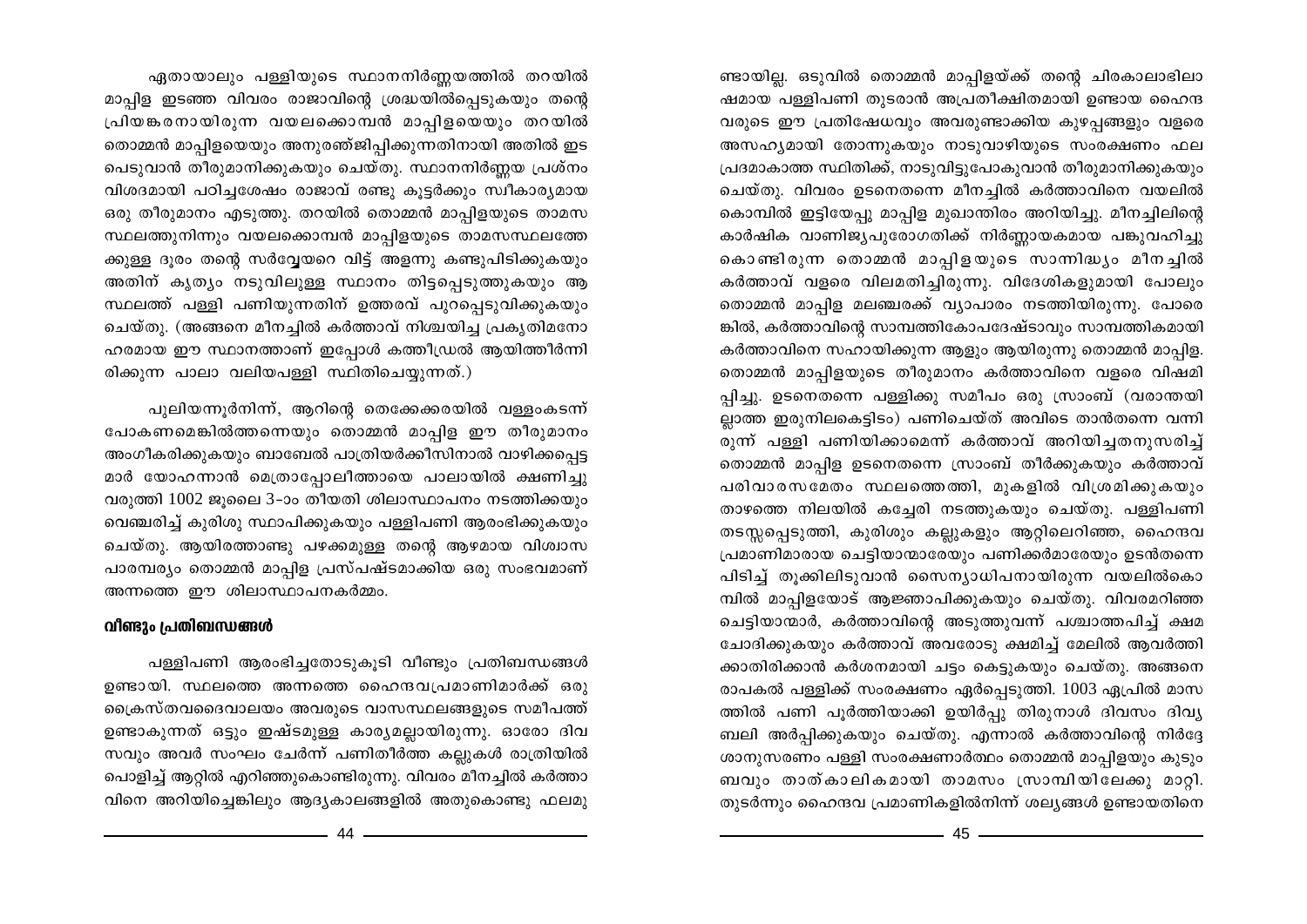ണ്ടായില്ല. ഒടുവിൽ തൊമ്മൻ മാപ്പിളയ്ക്ക് തന്റെ ചിരകാലാഭിലാ ഷമായ പള്ളിപണി തുടരാൻ അപ്രതീക്ഷിതമായി ഉണ്ടായ ഹൈന്ദ വരുടെ ഈ പ്രതിഷേധവും അവരുണ്ടാക്കിയ കുഴപങ്ങളും വളരെ അസഹ്യമായി തോന്നുകയും നാടുവാഴിയുടെ സംരക്ഷണം ഫല പ്രദമാകാത്ത സ്ഥിതിക്ക്, നാടുവിട്ടുപോകുവാൻ തീരുമാനിക്കുകയും ചെയ്തു. വിവരം ഉടനെതന്നെ മീനച്ചിൽ കർത്താവിനെ വയലിൽ കൊമ്പിൽ ഇട്ടിയേപ്പു മാപ്പിള മുഖാന്തിരം അറിയിച്ചു. മീനച്ചിലിന്റെ കാർഷിക വാണിജ്യപുരോഗതിക്ക് നിർണ്ണായകമായ പങ്കുവഹിച്ചു കൊണ്ടിരുന്ന തൊമ്മൻ മാപ്പിളയുടെ സാന്നിദ്ധ്യം മീനച്ചിൽ കർത്താവ് വളരെ വിലമതിച്ചിരുന്നു. വിദേശികളുമായി പോലും തൊമ്മൻ മാപ്പിള മലഞ്ചരക്ക് വ്യാപാരം നടത്തിയിരുന്നു. പോരെ ങ്കിൽ, കർത്താവിന്റെ സാമ്പത്തികോപദേഷ്ടാവും സാമ്പത്തികമായി കർത്താവിനെ സഹായിക്കുന്ന ആളും ആയിരുന്നു തൊമ്മൻ മാപ്പിള. തൊമ്മൻ മാപ്പിളയുടെ തീരുമാനം കർത്താവിനെ വളരെ വിഷമി പ്പിച്ചു. ഉടനെതന്നെ പള്ളിക്കു സമീപം ഒരു സ്രാംബ് (വരാന്തയി ല്ലാത്ത ഇരുനിലകെട്ടിടം) പണിചെയ്ത് അവിടെ താൻതന്നെ വന്നി രുന്ന് പള്ളി പണിയിക്കാമെന്ന് കർത്താവ് അറിയിച്ചതനുസരിച്ച് തൊമ്മൻ മാപ്പിള ഉടനെതന്നെ സ്രാംബ് തീർക്കുകയും കർത്താവ് പരിവാരസമേതം സ്ഥലത്തെത്തി, മുകളിൽ വിശ്രമിക്കുകയും താഴത്തെ നിലയിൽ കച്ചേരി നടത്തുകയും ചെയ്തു. പള്ളിപണി തടസ്സപ്പെടുത്തി, കുരിശും കല്ലുകളും ആറ്റിലെറിഞ്ഞ, ഹൈന്ദവ പ്രമാണിമാരായ ചെട്ടിയാന്മാരേയും പണിക്കർമാരേയും ഉടൻതന്നെ പിടിച്ച് തുക്കിലിടുവാൻ സൈന്യാധിപനായിരുന്ന വയലിൽകൊ മ്പിൽ മാപ്പിളയോട് ആജ്ഞാപിക്കുകയും ചെയ്തു. വിവരമറിഞ്ഞ ചെട്ടിയാന്മാർ, കർത്താവിന്റെ അടുത്തുവന്ന് പശ്ചാത്തപിച്ച് ക്ഷമ ചോദിക്കുകയും കർത്താവ് അവരോടു ക്ഷമിച്ച് മേലിൽ ആവർത്തി ക്കാതിരിക്കാൻ കർശനമായി ചട്ടം കെട്ടുകയും ചെയ്തു. അങ്ങനെ രാപകൽ പള്ളിക്ക് സംരക്ഷണം ഏർപ്പെടുത്തി. 1003 ഏപ്രിൽ മാസ ത്തിൽ പണി പൂർത്തിയാക്കി ഉയിർപ്പു തിരുനാൾ ദിവസം ദിവ്യ ബലി അർപ്പിക്കുകയും ചെയ്തു. എന്നാൽ കർത്താവിന്റെ നിർദ്ദേ ശാനുസരണം പള്ളി സംരക്ഷണാർത്ഥം തൊമ്മൻ മാപ്പിളയും കുടും ബവും താത്കാലികമായി താമസം സ്രാമ്പിയിലേക്കു മാറ്റി. തുടർന്നും ഹൈന്ദവ പ്രമാണികളിൽനിന്ന് ശല്യങ്ങൾ ഉണ്ടായതിനെ

ഏതായാലും പള്ളിയുടെ സ്ഥാനനിർണ്ണയത്തിൽ തറയിൽ മാപ്പിള ഇടഞ്ഞ വിവരം രാജാവിന്റെ ശ്രദ്ധയിൽപ്പെടുകയും തന്റെ പ്രിയങ്കരനായിരുന്ന വയലക്കൊമ്പൻ മാപ്പിളയെയും തറയിൽ തൊമ്മൻ മാപ്പിളയെയും അനുരഞ്ജിപ്പിക്കുന്നതിനായി അതിൽ ഇട പെടുവാൻ തീരുമാനിക്കുകയും ചെയ്തു. സ്ഥാനനിർണ്ണയ പ്രശ്നം

വിശദമായി പഠിച്ചശേഷം രാജാവ് രണ്ടു കൂട്ടർക്കും സ്വീകാര്യമായ ഒരു തീരുമാനം എടുത്തു. തറയിൽ തൊമ്മൻ മാപ്പിളയുടെ താമസ സ്ഥലത്തുനിന്നും വയലക്കൊമ്പൻ മാപ്പിളയുടെ താമസസ്ഥലത്തേ ക്കുള്ള ദൂരം തന്റെ സർവ്വേയറെ വിട്ട് അളന്നു കണ്ടുപിടിക്കുകയും അതിന് കൃത്യം നടുവിലുള്ള സ്ഥാനം തിട്ടപ്പെടുത്തുകയും ആ സ്ഥലത്ത് പള്ളി പണിയുന്നതിന് ഉത്തരവ് പുറപ്പെടുവിക്കുകയും ചെയ്തു. (അങ്ങനെ മീനച്ചിൽ കർത്താവ് നിശ്ചയിച്ച പ്രകൃതിമനോ ഹരമായ ഈ സ്ഥാനത്താണ് ഇപ്പോൾ കത്തീഡ്രൽ ആയിത്തീർന്നി രിക്കുന്ന പാലാ വലിയപള്ളി സ്ഥിതിചെയ്യുന്നത്.)

പുലിയന്നൂർനിന്ന്, ആറിന്റെ തെക്കേക്കരയിൽ വള്ളംകടന്ന് പോകണമെങ്കിൽത്തന്നെയും തൊമ്മൻ മാപ്പിള ഈ തീരുമാനം അംഗീകരിക്കുകയും ബാബേൽ പാത്രിയർക്കീസിനാൽ വാഴിക്കപ്പെട്ട മാർ യോഹന്നാൻ മെത്രാപ്പോലീത്തായെ പാലായിൽ ക്ഷണിച്ചു വരുത്തി 1002 ജുലൈ 3-ാം തീയതി ശിലാസ്ഥാപനം നടത്തിക്കയും വെഞ്ചരിച്ച് കുരിശു സ്ഥാപിക്കുകയും പള്ളിപണി ആരംഭിക്കുകയും ചെയ്തു. ആയിരത്താണ്ടു പഴക്കമുള്ള തന്റെ ആഴമായ വിശ്വാസ പാരമ്പര്യം തൊമ്മൻ മാപ്പിള പ്രസ്പഷ്ടമാക്കിയ ഒരു സംഭവമാണ് അന്നത്തെ ഈ ശിലാസ്ഥാപനകർമ്മം.

## വീണ്ടും പ്രതിബന്ധങ്ങൾ

പള്ളിപണി ആരംഭിച്ചതോടുകൂടി വീണ്ടും പ്രതിബന്ധങ്ങൾ ഉണ്ടായി. സ്ഥലത്തെ അന്നത്തെ ഹൈന്ദവപ്രമാണിമാർക്ക് ഒരു ക്രൈസ്തവദൈവാലയം അവരുടെ വാസസ്ഥലങ്ങളുടെ സമീപത്ത് ഉണ്ടാകുന്നത് ഒട്ടും ഇഷ്ടമുള്ള കാര്യമല്ലായിരുന്നു. ഓരോ ദിവ സവും അവർ സംഘം ചേർന്ന് പണിതീർത്ത കല്ലുകൾ രാത്രിയിൽ പൊളിച്ച് ആറ്റിൽ എറിഞ്ഞുകൊണ്ടിരുന്നു. വിവരം മീനച്ചിൽ കർത്താ വിനെ അറിയിച്ചെങ്കിലും ആദ്യകാലങ്ങളിൽ അതുകൊണ്ടു ഫലമു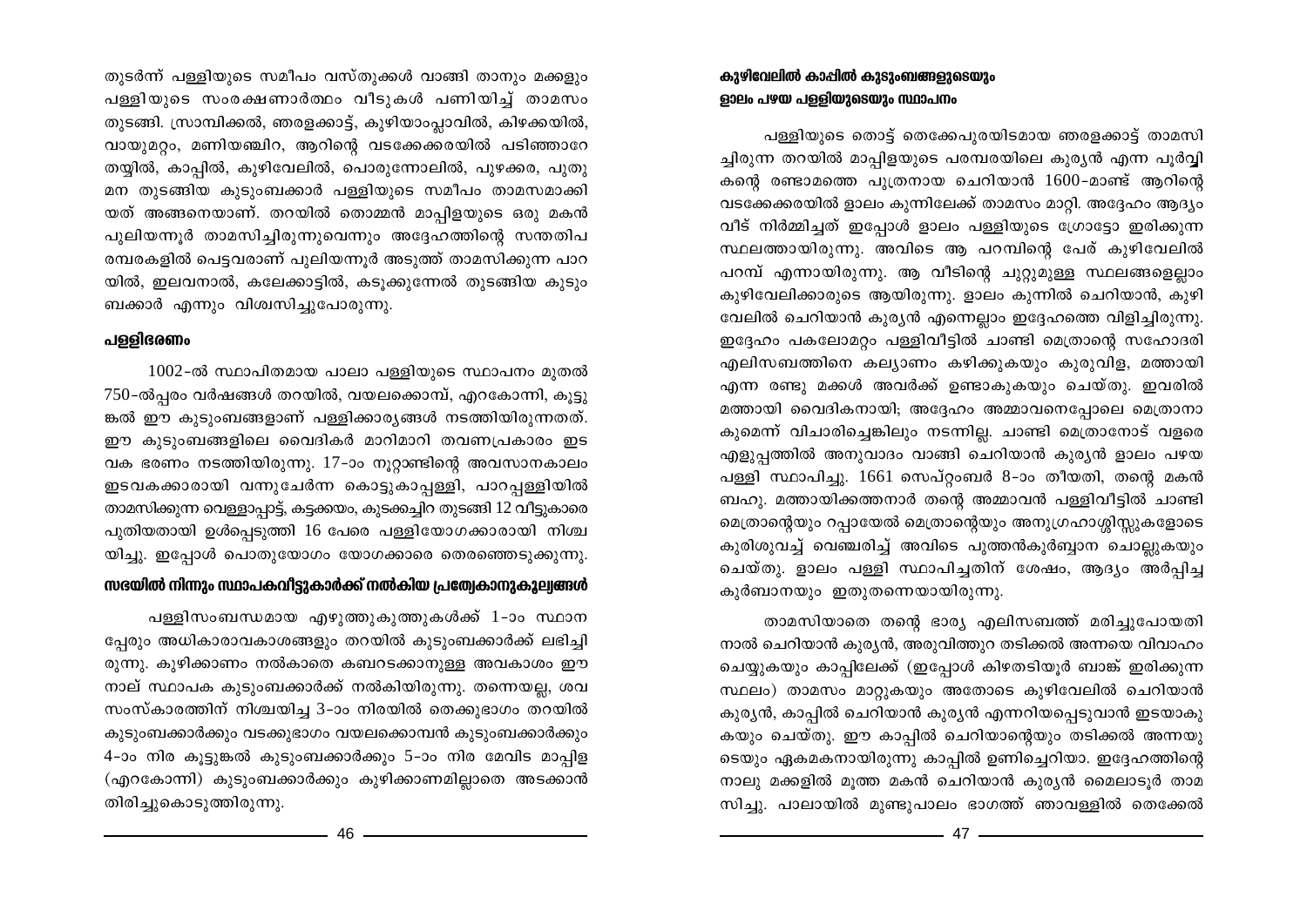തുടർന്ന് പള്ളിയുടെ സമീപം വസ്തുക്കൾ വാങ്ങി താനും മക്കളും പള്ളിയുടെ സംരക്ഷണാർത്ഥം വീടുകൾ പണിയിച്ച് താമസം തുടങ്ങി. സ്രാമ്പിക്കൽ, ഞരളക്കാട്ട്, കുഴിയാംപ്ലാവിൽ, കിഴക്കയിൽ, വായുമറ്റം, മണിയഞ്ചിറ, ആറിന്റെ വടക്കേക്കരയിൽ പടിഞ്ഞാറേ തയ്യിൽ, കാപ്പിൽ, കുഴിവേലിൽ, പൊരുന്നോലിൽ, പുഴക്കര, പുതു മന തുടങ്ങിയ കുടുംബക്കാർ പള്ളിയുടെ സമീപം താമസമാക്കി യത് അങ്ങനെയാണ്. തറയിൽ തൊമ്മൻ മാപ്പിളയുടെ ഒരു മകൻ പുലിയന്നൂർ താമസിച്ചിരുന്നുവെന്നും അദ്ദേഹത്തിന്റെ സന്തതിപ രമ്പരകളിൽ പെട്ടവരാണ് പുലിയന്നൂർ അടുത്ത് താമസിക്കുന്ന പാറ യിൽ, ഇലവനാൽ, കലേക്കാട്ടിൽ, കടുക്കുന്നേൽ തുടങ്ങിയ കൂടും ബക്കാർ എന്നും വിശ്വസിച്ചുപോരുന്നു.

## പള്ളിഭരണം

 $1002$ -ൽ സ്ഥാപിതമായ പാലാ പള്ളിയുടെ സ്ഥാപനം മുതൽ  $750$ -ൽപ്പരം വർഷങ്ങൾ തറയിൽ, വയലക്കൊമ്പ്, എറകോന്നി, കൂട്ടു ങ്കൽ ഈ കുടുംബങ്ങളാണ് പള്ളിക്കാര്യങ്ങൾ നടത്തിയിരുന്നതത്. ഈ കുടുംബങ്ങളിലെ വൈദികർ മാറിമാറി തവണപ്രകാരം ഇട വക ഭരണം നടത്തിയിരുന്നു. 17-ാം നൂറ്റാണ്ടിന്റെ അവസാനകാലം ഇടവകക്കാരായി വന്നുചേർന്ന കൊട്ടുകാപ്പള്ളി, പാറപ്പള്ളിയിൽ താമസിക്കുന്ന വെള്ളാപ്പാട്ട്, കട്ടക്കയം, കുടക്കച്ചിറ തുടങ്ങി 12 വീട്ടുകാരെ പുതിയതായി ഉൾപ്പെടുത്തി 16 പേരെ പള്ളിയോഗക്കാരായി നിശ്ച യിച്ചു. ഇപ്പോൾ പൊതുയോഗം യോഗക്കാരെ തെരഞ്ഞെടുക്കുന്നു.

## സഭയിൽ നിന്നും സ്ഥാപകവിട്ടുകാർക്ക് നൽകിയ പ്രത്വേകാനുകൂല്വങ്ങൾ

പള്ളിസംബന്ധമായ എഴുത്തുകുത്തുകൾക്ക് 1-ാം സ്ഥാന പ്പേരും അധികാരാവകാശങ്ങളും തറയിൽ കുടുംബക്കാർക്ക് ലഭിച്ചി രുന്നു. കുഴിക്കാണം നൽകാതെ കബറടക്കാനുള്ള അവകാശം ഈ നാല് സ്ഥാപക കുടുംബക്കാർക്ക് നൽകിയിരുന്നു. തന്നെയല്ല, ശവ സംസ്കാരത്തിന് നിശ്ചയിച്ച 3-ാം നിരയിൽ തെക്കുഭാഗം തറയിൽ കുടുംബക്കാർക്കും വടക്കുഭാഗം വയലക്കൊമ്പൻ കുടുംബക്കാർക്കും 4-ാം നിര കൂട്ടുങ്കൽ കുടുംബക്കാർക്കും 5-ാം നിര മേവിട മാപ്പിള (എറകോന്നി) കുടുംബക്കാർക്കും കുഴിക്കാണമില്ലാതെ അടക്കാൻ തിരിച്ചുകൊടുത്തിരുന്നു.

## കുഴിവേലിൽ കാപ്പിൽ കുടുംബങ്ങളുടെയും ളാലം പഴയ പള്ളിയുടെയും സ്ഥാപനം

പള്ളിയുടെ തൊട്ട് തെക്കേപുരയിടമായ ഞരളക്കാട്ട് താമസി ച്ചിരുന്ന തറയിൽ മാപ്പിളയുടെ പരമ്പരയിലെ കുര്യൻ എന്ന പൂർവ്വി കന്റെ രണ്ടാമത്തെ പുത്രനായ ചെറിയാൻ 1600-മാണ്ട് ആറിന്റെ വടക്കേക്കരയിൽ ളാലം കുന്നിലേക്ക് താമസം മാറ്റി. അദ്ദേഹം ആദ്യം വീട് നിർമ്മിച്ചത് ഇപ്പോൾ ളാലം പള്ളിയുടെ ഗ്രോട്ടോ ഇരിക്കുന്ന സ്ഥലത്തായിരുന്നു. അവിടെ ആ പറമ്പിന്റെ പേര് കുഴിവേലിൽ പറമ്പ് എന്നായിരുന്നു. ആ വീടിന്റെ ചുറ്റുമുള്ള സ്ഥലങ്ങളെല്ലാം കുഴിവേലിക്കാരുടെ ആയിരുന്നു. ളാലം കുന്നിൽ ചെറിയാൻ, കുഴി വേലിൽ ചെറിയാൻ കുര്യൻ എന്നെല്ലാം ഇദ്ദേഹത്തെ വിളിച്ചിരുന്നു. ഇദ്ദേഹം പകലോമറ്റം പള്ളിവീട്ടിൽ ചാണ്ടി മെത്രാന്റെ സഹോദരി എലിസബത്തിനെ കല്യാണം കഴിക്കുകയും കുരുവിള, മത്തായി എന്ന രണ്ടു മക്കൾ അവർക്ക് ഉണ്ടാകുകയും ചെയ്തു. ഇവരിൽ മത്തായി വൈദികനായി; അദ്ദേഹം അമ്മാവനെപ്പോലെ മെത്രാനാ കുമെന്ന് വിചാരിച്ചെങ്കിലും നടന്നില്ല. ചാണ്ടി മെത്രാനോട് വളരെ എളുപ്പത്തിൽ അനുവാദം വാങ്ങി ചെറിയാൻ കുര്യൻ ളാലം പഴയ പള്ളി സ്ഥാപിച്ചു. 1661 സെപ്റ്റംബർ 8-ാം തീയതി, തന്റെ മകൻ ബഹു. മത്തായിക്കത്തനാർ തന്റെ അമ്മാവൻ പള്ളിവീട്ടിൽ ചാണ്ടി മെത്രാന്റെയും റപ്പായേൽ മെത്രാന്റെയും അനുഗ്രഹാശ്ശിസ്സുകളോടെ കുരിശുവച്ച് വെഞ്ചരിച്ച് അവിടെ പുത്തൻകുർബ്ബാന ചൊല്ലുകയും ചെയ്തു. ളാലം പള്ളി സ്ഥാപിച്ചതിന് ശേഷം, ആദ്യം അർപ്പിച്ച കുർബാനയും ഇതുതന്നെയായിരുന്നു.

താമസിയാതെ തന്റെ ഭാര്യ എലിസബത്ത് മരിച്ചുപോയതി നാൽ ചെറിയാൻ കുര്യൻ, അരുവിത്തുറ തടിക്കൽ അന്നയെ വിവാഹം ചെയ്യുകയും കാപ്പിലേക്ക് (ഇപ്പോൾ കിഴതടിയൂർ ബാങ്ക് ഇരിക്കുന്ന സ്ഥലം) താമസം മാറ്റുകയും അതോടെ കുഴിവേലിൽ ചെറിയാൻ കുര്യൻ, കാപ്പിൽ ചെറിയാൻ കുര്യൻ എന്നറിയപ്പെടുവാൻ ഇടയാകു കയും ചെയ്തു. ഈ കാപ്പിൽ ചെറിയാന്റെയും തടിക്കൽ അന്നയു ടെയും ഏകമകനായിരുന്നു കാപ്പിൽ ഉണിച്ചെറിയാ. ഇദ്ദേഹത്തിന്റെ നാലു മക്കളിൽ മുത്ത മകൻ ചെറിയാൻ കുര്യൻ മൈലാടുർ താമ സിച്ചു. പാലായിൽ മുണ്ടുപാലം ഭാഗത്ത് ഞാവള്ളിൽ തെക്കേൽ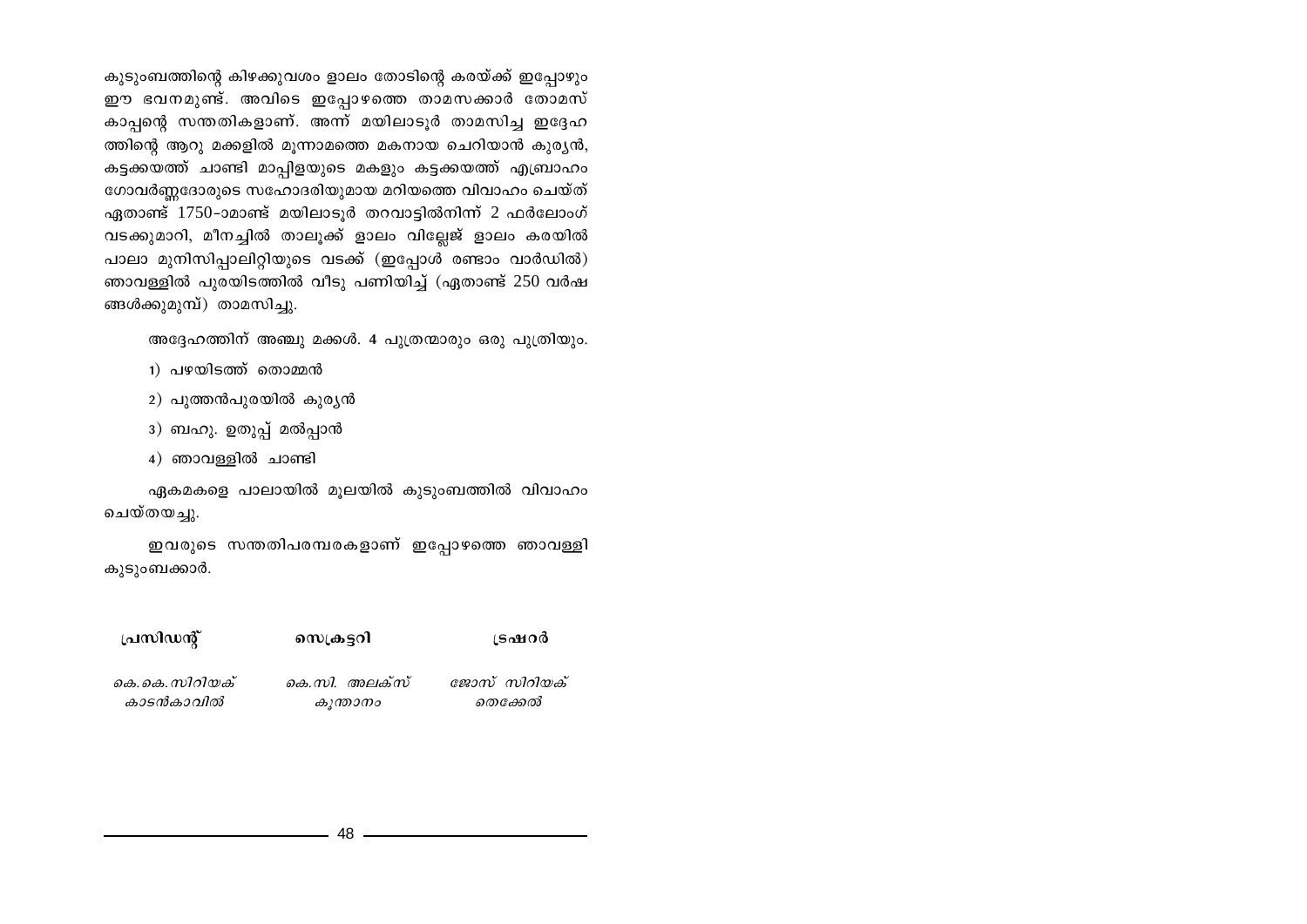കുടുംബത്തിന്റെ കിഴക്കുവശം ളാലം തോടിന്റെ കരയ്ക്ക് ഇപ്പോഴും ഈ ഭവനമുണ്ട്. അവിടെ ഇപ്പോഴത്തെ താമസക്കാർ തോമസ് കാപ്പന്റെ സന്തതികളാണ്. അന്ന് മയിലാടൂർ താമസിച്ച ഇദ്ദേഹ ത്തിന്റെ ആറു മക്കളിൽ മൂന്നാമത്തെ മകനായ ചെറിയാൻ കുര്യൻ, കട്ടക്കയത്ത് ചാണ്ടി മാപ്പിളയുടെ മകളും കട്ടക്കയത്ത് എബ്രാഹം ഗോവർണ്ണദോരുടെ സഹോദരിയുമായ മറിയത്തെ വിവാഹം ചെയ്ത് ഏതാണ്ട് 1750-ാമാണ്ട് മയിലാടൂർ തറവാട്ടിൽനിന്ന് 2 ഫർലോംഗ് വടക്കുമാറി, മീനച്ചിൽ താലൂക്ക് ളാലം വില്ലേജ് ളാലം കരയിൽ പാലാ മുനിസിപ്പാലിറ്റിയുടെ വടക്ക് (ഇപ്പോൾ രണ്ടാം വാർഡിൽ) ഞാവള്ളിൽ പുരയിടത്തിൽ വീടു പണിയിച്ച് (ഏതാണ്ട് 250 വർഷ ങ്ങൾക്കുമുമ്പ്) താമസിച്ചു.

അദ്ദേഹത്തിന് അഞ്ചു മക്കൾ. 4 പുത്രന്മാരും ഒരു പുത്രിയും.

- 1) പഴയിടത്ത് തൊമ്മൻ
- 2) പുത്തൻപുരയിൽ കുര്യൻ
- 3) ബഹു. ഉതുപ്പ് മൽപ്പാൻ
- 4) ഞാവള്ളിൽ ചാണ്ടി

ഏകമകളെ പാലായിൽ മൂലയിൽ കുടുംബത്തിൽ വിവാഹം ചെയ്തയചു.

ഇവരുടെ സന്തതിപരമ്പരകളാണ് ഇപ്പോഴത്തെ ഞാവള്ളി കുടുംബക്കാർ.

| പ്രസിഡന്റ്    | ഡെക്രട്ടറി    | ട്രഷറർ       |
|---------------|---------------|--------------|
| കെ.കെ.സിറിയക് | കെ.സി. അലക്സ് | ജോസ് സിറിയക് |
| കാടൻകാവിൽ     | കുന്താനം      | തെക്കേൽ      |

48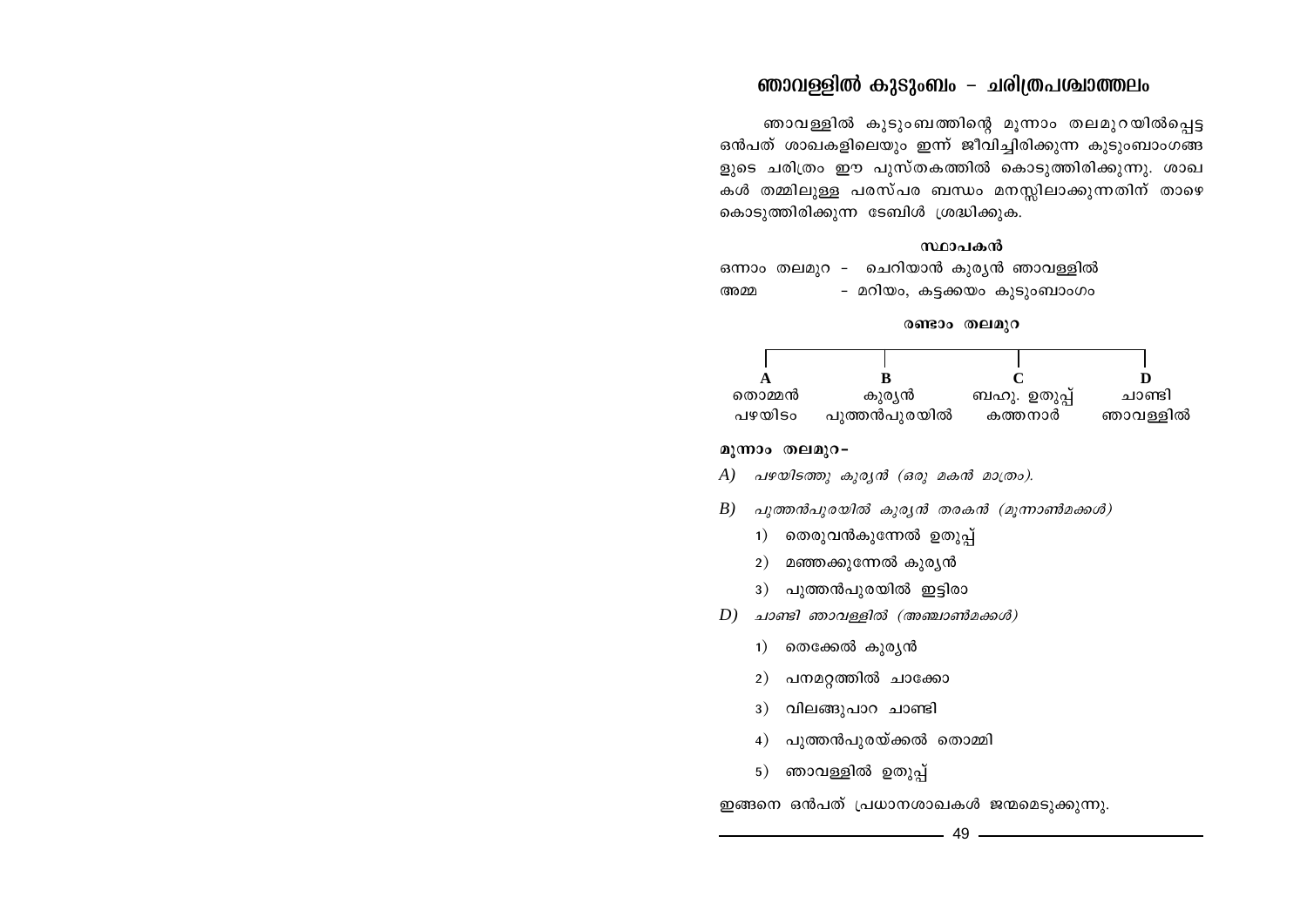## $R$ ണാവള്ളിൽ കുടുംബം - ചരിത്രപശ്ചാത്തലം

ഞാവള്ളിൽ കുടുംബത്തിന്റെ മൂന്നാം തലമുറയിൽപ്പെട്ട കൻപത് ശാഖകളിലെയും ഇന്ന് ജീവിച്ചിരിക്കുന്ന കുടുംബാംഗങ്ങ ളുടെ ചരിത്രം ഈ പുസ്തകത്തിൽ കൊടുത്തിരിക്കുന്നു. ശാഖ കൾ തമ്മിലുള്ള പരസ്പര ബന്ധം മനസ്സിലാക്കുന്നതിന് താഴെ കൊടുത്തിരിക്കുന്ന ടേബിൾ ശ്രദ്ധിക്കുക.

## സ്ഥാപകൻ

ഒന്നാം തലമുറ - ചെറിയാൻ കുരൃൻ ഞാവള്ളിൽ AΩ ˛ adn-bw, I´-°bw IpSpw-\_mwKw

## രണ്ടാം തലമുറ

| തൊമ്മൻ | കുര്യൻ       | ബഹു. ഉതുപ്പ് | ചാണ്ടി   |
|--------|--------------|--------------|----------|
| പഴയിടം | പുത്തൻപുരയിൽ | കത്തനാർ      | ഞാവള്ളിൽ |

## മൂന്നാം തലമുറ−

- *A) പഴയിടത്തു കുരൃൻ (ഒരു മകൻ മാത്രം).*
- *B) പുത്തൻപുരയിൽ കുരൃൻ തരകൻ (മൂന്നാൺമക്കൾ)* 
	- 1) തെരുവൻകുന്നേൽ ഉതുപ്പ്
	- 2) മഞ്ഞക്കുന്നേൽ കുരൃൻ
	- 3) പുത്തൻപുരയിൽ ഇട്ടിരാ
- *D) มวดา*รา *ตาววนฺ อฺ อฺ ไดจิ ( ตาดจบวดางิ อ.๑๑ ฬ )* 
	- 1) തെക്കേൽ കുര്യൻ
	- $2)$  പനമറ്റത്തിൽ ചാക്കോ
	- $3)$  വിലങ്ങുപാറ ചാണ്ടി
	- 4) പുത്തൻപുരയ്ക്കൽ തൊമ്മി
	- 5) ഞാവള്ളിൽ ഉതുപ്പ്

 $\mathbf 2$ ങ്ങനെ ഒൻപത് പ്രധാനശാഖകൾ ജന്മമെടുക്കുന്നു.